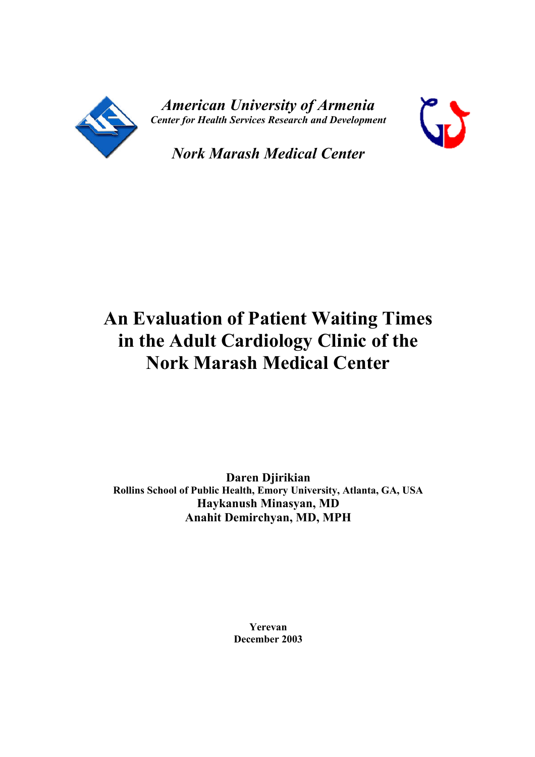

*American University of Armenia Center for Health Services Research and Development*



*Nork Marash Medical Center*

# **An Evaluation of Patient Waiting Times in the Adult Cardiology Clinic of the Nork Marash Medical Center**

**Daren Djirikian Rollins School of Public Health, Emory University, Atlanta, GA, USA Haykanush Minasyan, MD Anahit Demirchyan, MD, MPH**

> **Yerevan December 2003**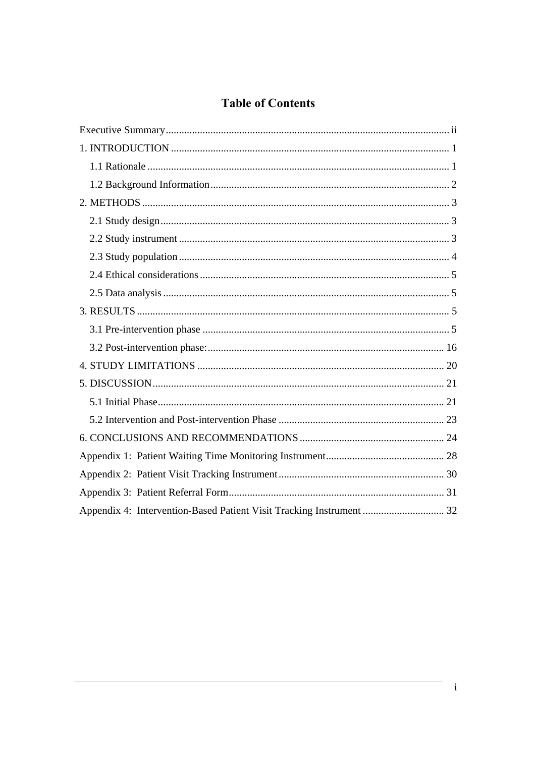# **Table of Contents**

| Appendix 4: Intervention-Based Patient Visit Tracking Instrument  32 |  |
|----------------------------------------------------------------------|--|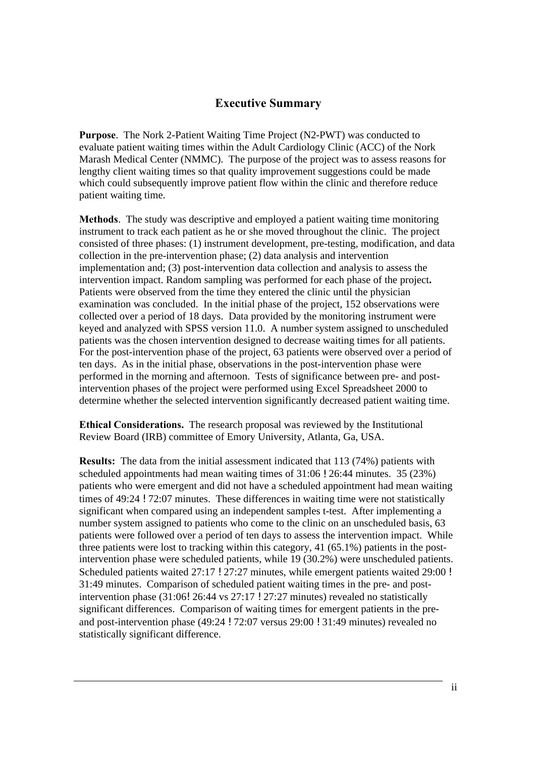# **Executive Summary**

**Purpose**. The Nork 2-Patient Waiting Time Project (N2-PWT) was conducted to evaluate patient waiting times within the Adult Cardiology Clinic (ACC) of the Nork Marash Medical Center (NMMC). The purpose of the project was to assess reasons for lengthy client waiting times so that quality improvement suggestions could be made which could subsequently improve patient flow within the clinic and therefore reduce patient waiting time.

**Methods**. The study was descriptive and employed a patient waiting time monitoring instrument to track each patient as he or she moved throughout the clinic. The project consisted of three phases: (1) instrument development, pre-testing, modification, and data collection in the pre-intervention phase; (2) data analysis and intervention implementation and; (3) post-intervention data collection and analysis to assess the intervention impact. Random sampling was performed for each phase of the project**.**  Patients were observed from the time they entered the clinic until the physician examination was concluded. In the initial phase of the project, 152 observations were collected over a period of 18 days. Data provided by the monitoring instrument were keyed and analyzed with SPSS version 11.0. A number system assigned to unscheduled patients was the chosen intervention designed to decrease waiting times for all patients. For the post-intervention phase of the project, 63 patients were observed over a period of ten days. As in the initial phase, observations in the post-intervention phase were performed in the morning and afternoon. Tests of significance between pre- and postintervention phases of the project were performed using Excel Spreadsheet 2000 to determine whether the selected intervention significantly decreased patient waiting time.

**Ethical Considerations.** The research proposal was reviewed by the Institutional Review Board (IRB) committee of Emory University, Atlanta, Ga, USA.

**Results:** The data from the initial assessment indicated that 113 (74%) patients with scheduled appointments had mean waiting times of 31:06 ! 26:44 minutes. 35 (23%) patients who were emergent and did not have a scheduled appointment had mean waiting times of 49:24 ! 72:07 minutes. These differences in waiting time were not statistically significant when compared using an independent samples t-test. After implementing a number system assigned to patients who come to the clinic on an unscheduled basis, 63 patients were followed over a period of ten days to assess the intervention impact. While three patients were lost to tracking within this category, 41 (65.1%) patients in the postintervention phase were scheduled patients, while 19 (30.2%) were unscheduled patients. Scheduled patients waited 27:17 ! 27:27 minutes, while emergent patients waited 29:00 ! 31:49 minutes. Comparison of scheduled patient waiting times in the pre- and postintervention phase (31:06! 26:44 vs 27:17 ! 27:27 minutes) revealed no statistically significant differences. Comparison of waiting times for emergent patients in the preand post-intervention phase (49:24 ! 72:07 versus 29:00 ! 31:49 minutes) revealed no statistically significant difference.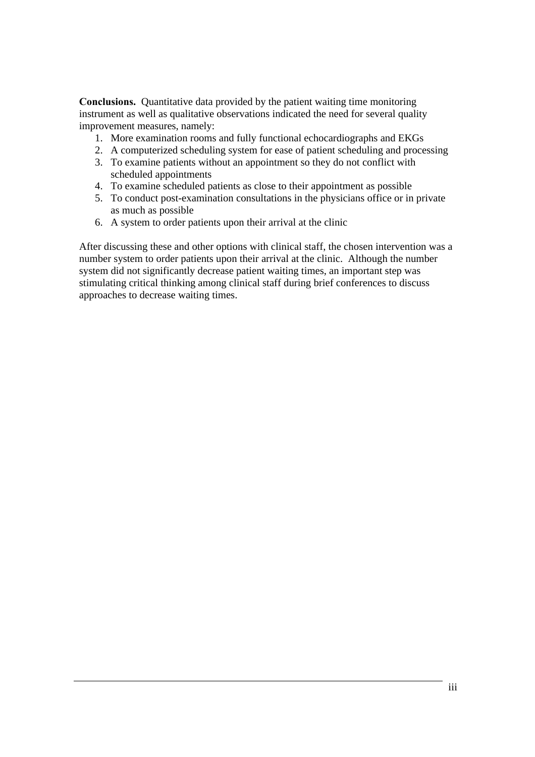**Conclusions.** Quantitative data provided by the patient waiting time monitoring instrument as well as qualitative observations indicated the need for several quality improvement measures, namely:

- 1. More examination rooms and fully functional echocardiographs and EKGs
- 2. A computerized scheduling system for ease of patient scheduling and processing
- 3. To examine patients without an appointment so they do not conflict with scheduled appointments
- 4. To examine scheduled patients as close to their appointment as possible
- 5. To conduct post-examination consultations in the physicians office or in private as much as possible
- 6. A system to order patients upon their arrival at the clinic

After discussing these and other options with clinical staff, the chosen intervention was a number system to order patients upon their arrival at the clinic. Although the number system did not significantly decrease patient waiting times, an important step was stimulating critical thinking among clinical staff during brief conferences to discuss approaches to decrease waiting times.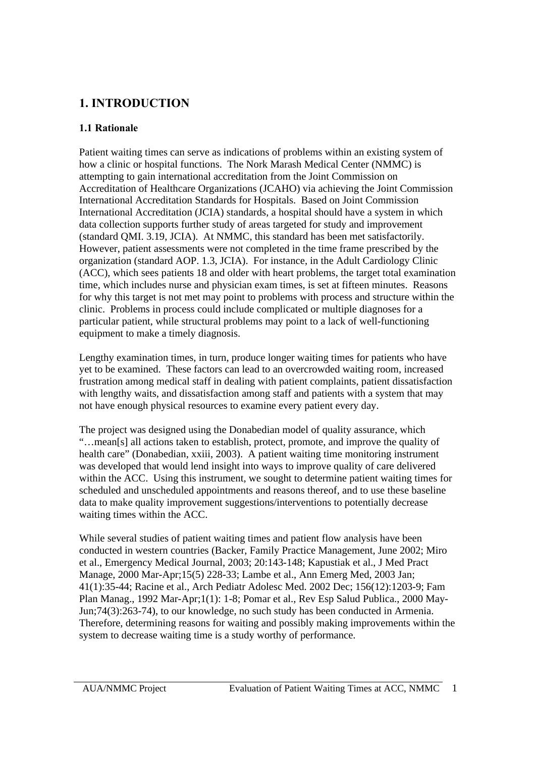# **1. INTRODUCTION**

### **1.1 Rationale**

Patient waiting times can serve as indications of problems within an existing system of how a clinic or hospital functions. The Nork Marash Medical Center (NMMC) is attempting to gain international accreditation from the Joint Commission on Accreditation of Healthcare Organizations (JCAHO) via achieving the Joint Commission International Accreditation Standards for Hospitals. Based on Joint Commission International Accreditation (JCIA) standards, a hospital should have a system in which data collection supports further study of areas targeted for study and improvement (standard QMI. 3.19, JCIA). At NMMC, this standard has been met satisfactorily. However, patient assessments were not completed in the time frame prescribed by the organization (standard AOP. 1.3, JCIA). For instance, in the Adult Cardiology Clinic (ACC), which sees patients 18 and older with heart problems, the target total examination time, which includes nurse and physician exam times, is set at fifteen minutes. Reasons for why this target is not met may point to problems with process and structure within the clinic. Problems in process could include complicated or multiple diagnoses for a particular patient, while structural problems may point to a lack of well-functioning equipment to make a timely diagnosis.

Lengthy examination times, in turn, produce longer waiting times for patients who have yet to be examined. These factors can lead to an overcrowded waiting room, increased frustration among medical staff in dealing with patient complaints, patient dissatisfaction with lengthy waits, and dissatisfaction among staff and patients with a system that may not have enough physical resources to examine every patient every day.

The project was designed using the Donabedian model of quality assurance, which "…mean[s] all actions taken to establish, protect, promote, and improve the quality of health care" (Donabedian, xxiii, 2003). A patient waiting time monitoring instrument was developed that would lend insight into ways to improve quality of care delivered within the ACC. Using this instrument, we sought to determine patient waiting times for scheduled and unscheduled appointments and reasons thereof, and to use these baseline data to make quality improvement suggestions/interventions to potentially decrease waiting times within the ACC.

While several studies of patient waiting times and patient flow analysis have been conducted in western countries (Backer, Family Practice Management, June 2002; Miro et al., Emergency Medical Journal, 2003; 20:143-148; Kapustiak et al., J Med Pract Manage, 2000 Mar-Apr;15(5) 228-33; Lambe et al., Ann Emerg Med, 2003 Jan; 41(1):35-44; Racine et al., Arch Pediatr Adolesc Med. 2002 Dec; 156(12):1203-9; Fam Plan Manag., 1992 Mar-Apr;1(1): 1-8; Pomar et al., Rev Esp Salud Publica., 2000 May-Jun;74(3):263-74), to our knowledge, no such study has been conducted in Armenia. Therefore, determining reasons for waiting and possibly making improvements within the system to decrease waiting time is a study worthy of performance.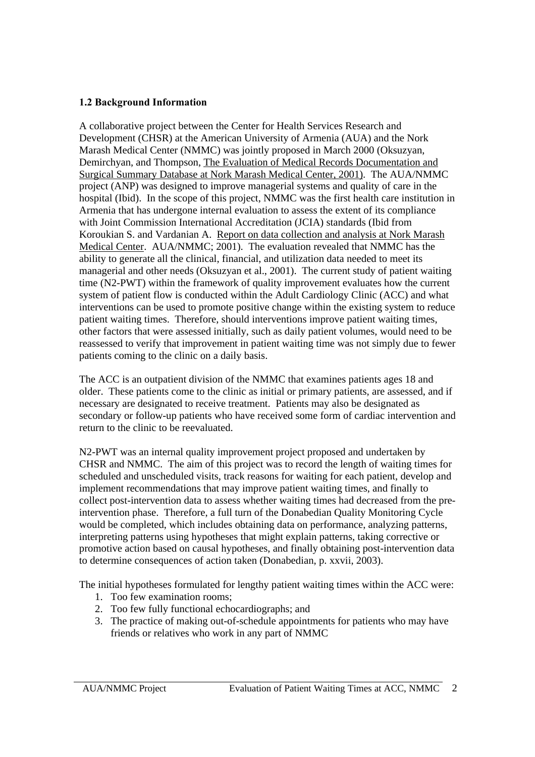### **1.2 Background Information**

A collaborative project between the Center for Health Services Research and Development (CHSR) at the American University of Armenia (AUA) and the Nork Marash Medical Center (NMMC) was jointly proposed in March 2000 (Oksuzyan, Demirchyan, and Thompson, The Evaluation of Medical Records Documentation and Surgical Summary Database at Nork Marash Medical Center, 2001). The AUA/NMMC project (ANP) was designed to improve managerial systems and quality of care in the hospital (Ibid). In the scope of this project, NMMC was the first health care institution in Armenia that has undergone internal evaluation to assess the extent of its compliance with Joint Commission International Accreditation (JCIA) standards (Ibid from Koroukian S. and Vardanian A. Report on data collection and analysis at Nork Marash Medical Center. AUA/NMMC; 2001). The evaluation revealed that NMMC has the ability to generate all the clinical, financial, and utilization data needed to meet its managerial and other needs (Oksuzyan et al., 2001). The current study of patient waiting time (N2-PWT) within the framework of quality improvement evaluates how the current system of patient flow is conducted within the Adult Cardiology Clinic (ACC) and what interventions can be used to promote positive change within the existing system to reduce patient waiting times. Therefore, should interventions improve patient waiting times, other factors that were assessed initially, such as daily patient volumes, would need to be reassessed to verify that improvement in patient waiting time was not simply due to fewer patients coming to the clinic on a daily basis.

The ACC is an outpatient division of the NMMC that examines patients ages 18 and older. These patients come to the clinic as initial or primary patients, are assessed, and if necessary are designated to receive treatment. Patients may also be designated as secondary or follow-up patients who have received some form of cardiac intervention and return to the clinic to be reevaluated.

N2-PWT was an internal quality improvement project proposed and undertaken by CHSR and NMMC. The aim of this project was to record the length of waiting times for scheduled and unscheduled visits, track reasons for waiting for each patient, develop and implement recommendations that may improve patient waiting times, and finally to collect post-intervention data to assess whether waiting times had decreased from the preintervention phase. Therefore, a full turn of the Donabedian Quality Monitoring Cycle would be completed, which includes obtaining data on performance, analyzing patterns, interpreting patterns using hypotheses that might explain patterns, taking corrective or promotive action based on causal hypotheses, and finally obtaining post-intervention data to determine consequences of action taken (Donabedian, p. xxvii, 2003).

The initial hypotheses formulated for lengthy patient waiting times within the ACC were:

- 1. Too few examination rooms;
- 2. Too few fully functional echocardiographs; and
- 3. The practice of making out-of-schedule appointments for patients who may have friends or relatives who work in any part of NMMC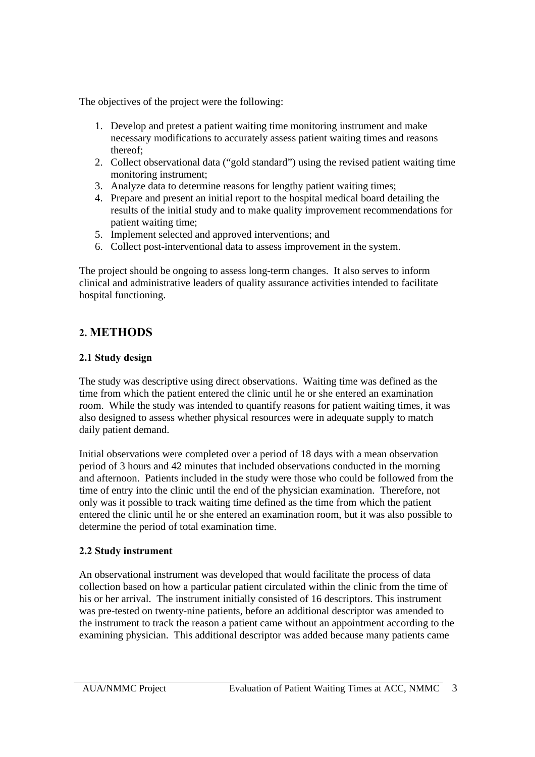The objectives of the project were the following:

- 1. Develop and pretest a patient waiting time monitoring instrument and make necessary modifications to accurately assess patient waiting times and reasons thereof;
- 2. Collect observational data ("gold standard") using the revised patient waiting time monitoring instrument;
- 3. Analyze data to determine reasons for lengthy patient waiting times;
- 4. Prepare and present an initial report to the hospital medical board detailing the results of the initial study and to make quality improvement recommendations for patient waiting time;
- 5. Implement selected and approved interventions; and
- 6. Collect post-interventional data to assess improvement in the system.

The project should be ongoing to assess long-term changes. It also serves to inform clinical and administrative leaders of quality assurance activities intended to facilitate hospital functioning.

# **2. METHODS**

# **2.1 Study design**

The study was descriptive using direct observations. Waiting time was defined as the time from which the patient entered the clinic until he or she entered an examination room. While the study was intended to quantify reasons for patient waiting times, it was also designed to assess whether physical resources were in adequate supply to match daily patient demand.

Initial observations were completed over a period of 18 days with a mean observation period of 3 hours and 42 minutes that included observations conducted in the morning and afternoon. Patients included in the study were those who could be followed from the time of entry into the clinic until the end of the physician examination. Therefore, not only was it possible to track waiting time defined as the time from which the patient entered the clinic until he or she entered an examination room, but it was also possible to determine the period of total examination time.

# **2.2 Study instrument**

An observational instrument was developed that would facilitate the process of data collection based on how a particular patient circulated within the clinic from the time of his or her arrival. The instrument initially consisted of 16 descriptors. This instrument was pre-tested on twenty-nine patients, before an additional descriptor was amended to the instrument to track the reason a patient came without an appointment according to the examining physician. This additional descriptor was added because many patients came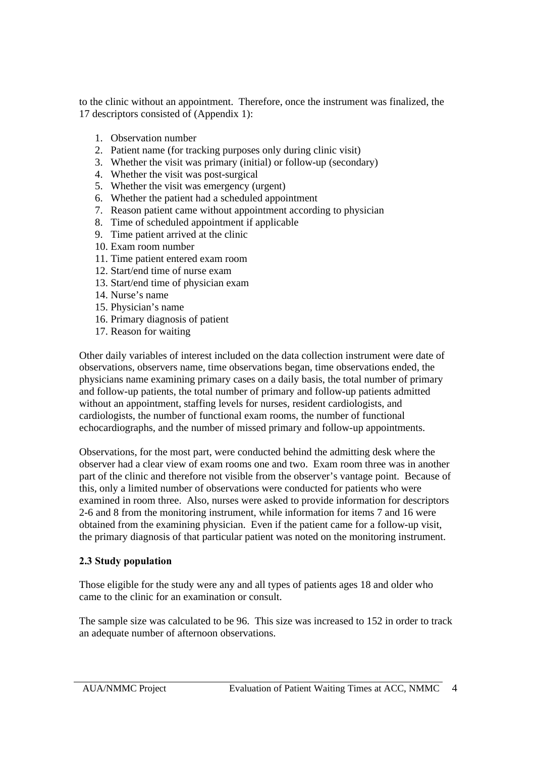to the clinic without an appointment. Therefore, once the instrument was finalized, the 17 descriptors consisted of (Appendix 1):

- 1. Observation number
- 2. Patient name (for tracking purposes only during clinic visit)
- 3. Whether the visit was primary (initial) or follow-up (secondary)
- 4. Whether the visit was post-surgical
- 5. Whether the visit was emergency (urgent)
- 6. Whether the patient had a scheduled appointment
- 7. Reason patient came without appointment according to physician
- 8. Time of scheduled appointment if applicable
- 9. Time patient arrived at the clinic
- 10. Exam room number
- 11. Time patient entered exam room
- 12. Start/end time of nurse exam
- 13. Start/end time of physician exam
- 14. Nurse's name
- 15. Physician's name
- 16. Primary diagnosis of patient
- 17. Reason for waiting

Other daily variables of interest included on the data collection instrument were date of observations, observers name, time observations began, time observations ended, the physicians name examining primary cases on a daily basis, the total number of primary and follow-up patients, the total number of primary and follow-up patients admitted without an appointment, staffing levels for nurses, resident cardiologists, and cardiologists, the number of functional exam rooms, the number of functional echocardiographs, and the number of missed primary and follow-up appointments.

Observations, for the most part, were conducted behind the admitting desk where the observer had a clear view of exam rooms one and two. Exam room three was in another part of the clinic and therefore not visible from the observer's vantage point. Because of this, only a limited number of observations were conducted for patients who were examined in room three. Also, nurses were asked to provide information for descriptors 2-6 and 8 from the monitoring instrument, while information for items 7 and 16 were obtained from the examining physician. Even if the patient came for a follow-up visit, the primary diagnosis of that particular patient was noted on the monitoring instrument.

#### **2.3 Study population**

Those eligible for the study were any and all types of patients ages 18 and older who came to the clinic for an examination or consult.

The sample size was calculated to be 96. This size was increased to 152 in order to track an adequate number of afternoon observations.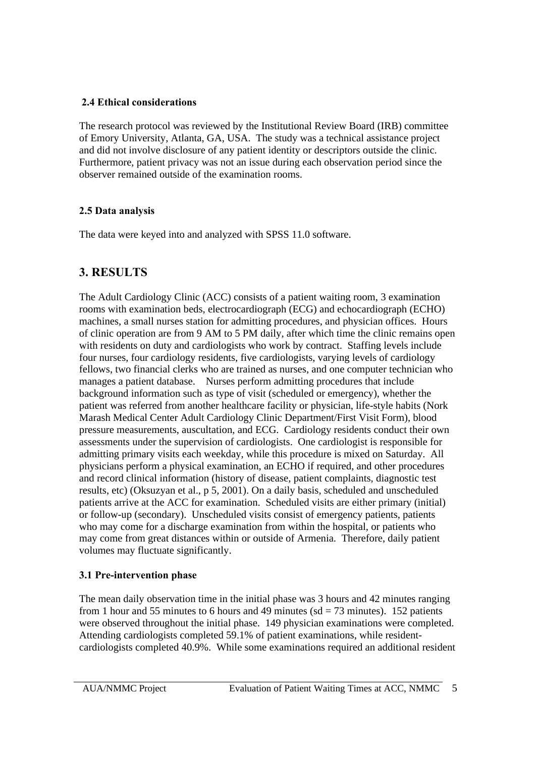### **2.4 Ethical considerations**

The research protocol was reviewed by the Institutional Review Board (IRB) committee of Emory University, Atlanta, GA, USA. The study was a technical assistance project and did not involve disclosure of any patient identity or descriptors outside the clinic. Furthermore, patient privacy was not an issue during each observation period since the observer remained outside of the examination rooms.

### **2.5 Data analysis**

The data were keyed into and analyzed with SPSS 11.0 software.

# **3. RESULTS**

The Adult Cardiology Clinic (ACC) consists of a patient waiting room, 3 examination rooms with examination beds, electrocardiograph (ECG) and echocardiograph (ECHO) machines, a small nurses station for admitting procedures, and physician offices. Hours of clinic operation are from 9 AM to 5 PM daily, after which time the clinic remains open with residents on duty and cardiologists who work by contract. Staffing levels include four nurses, four cardiology residents, five cardiologists, varying levels of cardiology fellows, two financial clerks who are trained as nurses, and one computer technician who manages a patient database. Nurses perform admitting procedures that include background information such as type of visit (scheduled or emergency), whether the patient was referred from another healthcare facility or physician, life-style habits (Nork Marash Medical Center Adult Cardiology Clinic Department/First Visit Form), blood pressure measurements, auscultation, and ECG. Cardiology residents conduct their own assessments under the supervision of cardiologists. One cardiologist is responsible for admitting primary visits each weekday, while this procedure is mixed on Saturday. All physicians perform a physical examination, an ECHO if required, and other procedures and record clinical information (history of disease, patient complaints, diagnostic test results, etc) (Oksuzyan et al., p 5, 2001). On a daily basis, scheduled and unscheduled patients arrive at the ACC for examination. Scheduled visits are either primary (initial) or follow-up (secondary). Unscheduled visits consist of emergency patients, patients who may come for a discharge examination from within the hospital, or patients who may come from great distances within or outside of Armenia. Therefore, daily patient volumes may fluctuate significantly.

### **3.1 Pre-intervention phase**

The mean daily observation time in the initial phase was 3 hours and 42 minutes ranging from 1 hour and 55 minutes to 6 hours and 49 minutes ( $sd = 73$  minutes). 152 patients were observed throughout the initial phase. 149 physician examinations were completed. Attending cardiologists completed 59.1% of patient examinations, while residentcardiologists completed 40.9%. While some examinations required an additional resident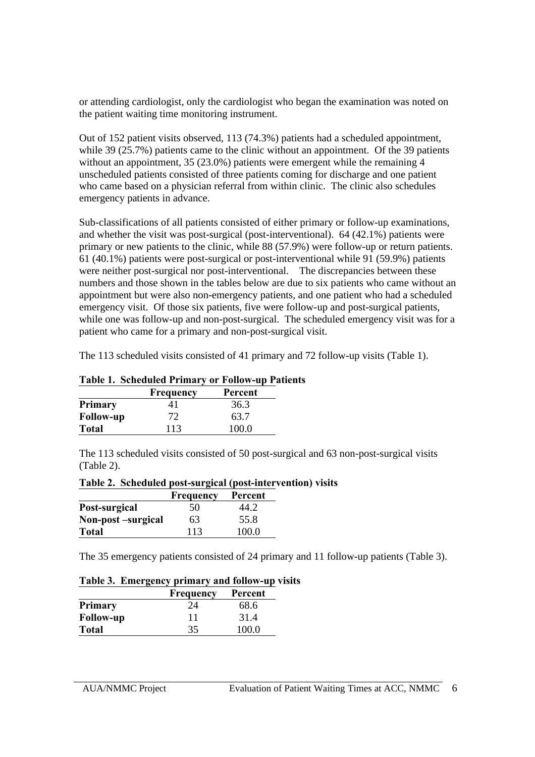or attending cardiologist, only the cardiologist who began the examination was noted on the patient waiting time monitoring instrument.

Out of 152 patient visits observed, 113 (74.3%) patients had a scheduled appointment, while 39 (25.7%) patients came to the clinic without an appointment. Of the 39 patients without an appointment, 35 (23.0%) patients were emergent while the remaining 4 unscheduled patients consisted of three patients coming for discharge and one patient who came based on a physician referral from within clinic. The clinic also schedules emergency patients in advance.

Sub-classifications of all patients consisted of either primary or follow-up examinations, and whether the visit was post-surgical (post-interventional). 64 (42.1%) patients were primary or new patients to the clinic, while 88 (57.9%) were follow-up or return patients. 61 (40.1%) patients were post-surgical or post-interventional while 91 (59.9%) patients were neither post-surgical nor post-interventional. The discrepancies between these numbers and those shown in the tables below are due to six patients who came without an appointment but were also non-emergency patients, and one patient who had a scheduled emergency visit. Of those six patients, five were follow-up and post-surgical patients, while one was follow-up and non-post-surgical. The scheduled emergency visit was for a patient who came for a primary and non-post-surgical visit.

The 113 scheduled visits consisted of 41 primary and 72 follow-up visits (Table 1).

| <b>Table 1. Scheduled Primary or Follow-up Patients</b> |  |  |
|---------------------------------------------------------|--|--|
|                                                         |  |  |

|                  | Frequency | Percent |  |  |
|------------------|-----------|---------|--|--|
| <b>Primary</b>   | 41        | 36.3    |  |  |
| <b>Follow-up</b> | 72        | 63.7    |  |  |
| <b>Total</b>     | 113       | 100 O   |  |  |

The 113 scheduled visits consisted of 50 post-surgical and 63 non-post-surgical visits (Table 2).

|                   | <b>Frequency</b> | Percent |
|-------------------|------------------|---------|
| Post-surgical     | 50               | 44.2    |
| Non-post-surgical | 63               | 55.8    |
| <b>Total</b>      | 113              | 100.0   |

**Table 2. Scheduled post-surgical (post-intervention) visits**

The 35 emergency patients consisted of 24 primary and 11 follow-up patients (Table 3).

#### **Table 3. Emergency primary and follow-up visits**

|                  | Frequency | Percent |
|------------------|-----------|---------|
| <b>Primary</b>   | 24        | 68.6    |
| <b>Follow-up</b> | 11        | 31.4    |
| <b>Total</b>     | 35        | 100.0   |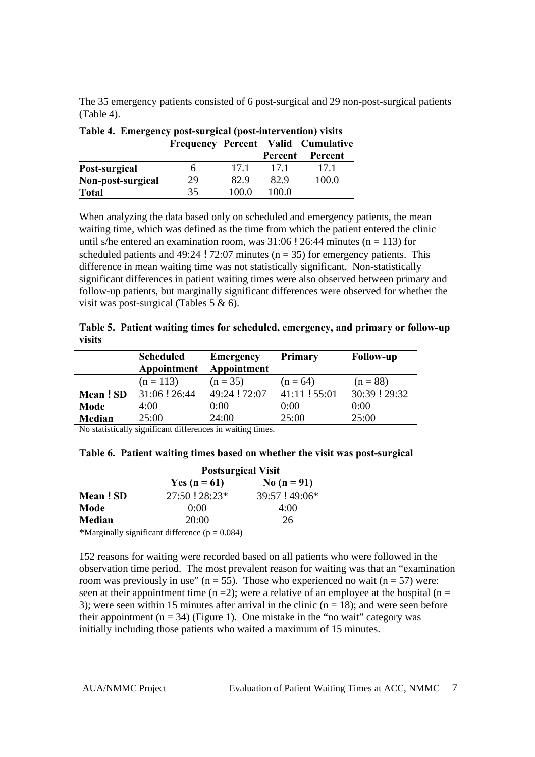The 35 emergency patients consisted of 6 post-surgical and 29 non-post-surgical patients (Table 4).

| Table 4. Emergency post-surgical (post-intervention) visits |                                           |       |         |         |  |  |  |
|-------------------------------------------------------------|-------------------------------------------|-------|---------|---------|--|--|--|
|                                                             | <b>Frequency Percent Valid Cumulative</b> |       |         |         |  |  |  |
|                                                             |                                           |       | Percent | Percent |  |  |  |
| Post-surgical                                               |                                           | 17.1  | 17.1    | 17.1    |  |  |  |
| Non-post-surgical                                           | 29                                        | 82.9  | 82.9    | 100.0   |  |  |  |
| <b>Total</b>                                                | 35                                        | 100.0 | 100.0   |         |  |  |  |

When analyzing the data based only on scheduled and emergency patients, the mean waiting time, which was defined as the time from which the patient entered the clinic until s/he entered an examination room, was  $31:06$  ! 26:44 minutes (n = 113) for

scheduled patients and  $49:24$  ! 72:07 minutes ( $n = 35$ ) for emergency patients. This difference in mean waiting time was not statistically significant. Non-statistically significant differences in patient waiting times were also observed between primary and follow-up patients, but marginally significant differences were observed for whether the visit was post-surgical (Tables 5 & 6).

|        |  | Table 5. Patient waiting times for scheduled, emergency, and primary or follow-up |
|--------|--|-----------------------------------------------------------------------------------|
| visits |  |                                                                                   |

|         | <b>Scheduled</b><br>Appointment | <b>Emergency</b><br>Appointment | <b>Primary</b> | <b>Follow-up</b> |
|---------|---------------------------------|---------------------------------|----------------|------------------|
|         | $(n = 113)$                     | $(n = 35)$                      | $(n = 64)$     | $(n = 88)$       |
| Mean!SD | 31:06:26:44                     | 49:24 ! 72:07                   | 41:11 ! 55:01  | 30:39 ! 29:32    |
| Mode    | 4:00                            | 0:00                            | 0:00           | 0:00             |
| Median  | 25:00                           | 24:00                           | 25:00          | 25:00            |

No statistically significant differences in waiting times.

|          | <b>Postsurgical Visit</b>       |                  |  |  |  |
|----------|---------------------------------|------------------|--|--|--|
|          | No $(n = 91)$<br>Yes $(n = 61)$ |                  |  |  |  |
| Mean! SD | $27:50$ ! $28:23*$              | $39:57$ ! 49:06* |  |  |  |
| Mode     | 0:00                            | 4:00             |  |  |  |
| Median   | 20:00                           | 26               |  |  |  |

| Table 6. Patient waiting times based on whether the visit was post-surgical |  |  |
|-----------------------------------------------------------------------------|--|--|
|                                                                             |  |  |

\*Marginally significant difference  $(p = 0.084)$ 

152 reasons for waiting were recorded based on all patients who were followed in the observation time period. The most prevalent reason for waiting was that an "examination room was previously in use" ( $n = 55$ ). Those who experienced no wait ( $n = 57$ ) were: seen at their appointment time (n = 2); were a relative of an employee at the hospital (n = 3); were seen within 15 minutes after arrival in the clinic  $(n = 18)$ ; and were seen before their appointment ( $n = 34$ ) (Figure 1). One mistake in the "no wait" category was initially including those patients who waited a maximum of 15 minutes.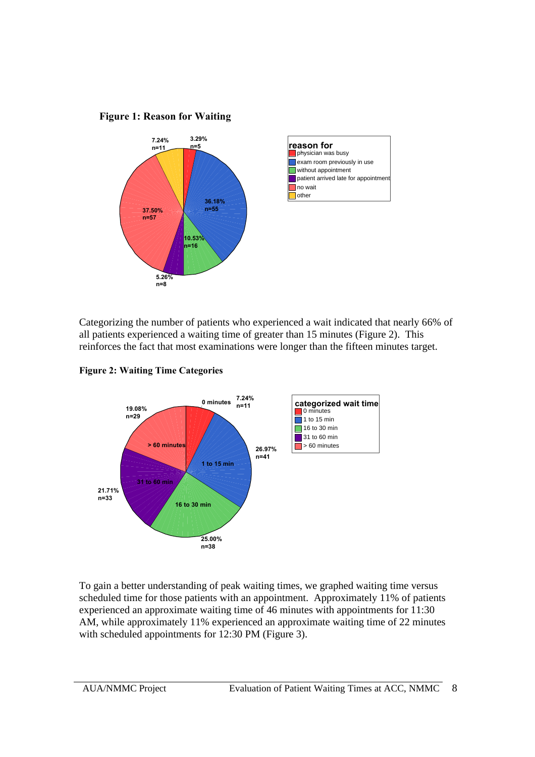



Categorizing the number of patients who experienced a wait indicated that nearly 66% of all patients experienced a waiting time of greater than 15 minutes (Figure 2). This reinforces the fact that most examinations were longer than the fifteen minutes target.





To gain a better understanding of peak waiting times, we graphed waiting time versus scheduled time for those patients with an appointment. Approximately 11% of patients experienced an approximate waiting time of 46 minutes with appointments for 11:30 AM, while approximately 11% experienced an approximate waiting time of 22 minutes with scheduled appointments for 12:30 PM (Figure 3).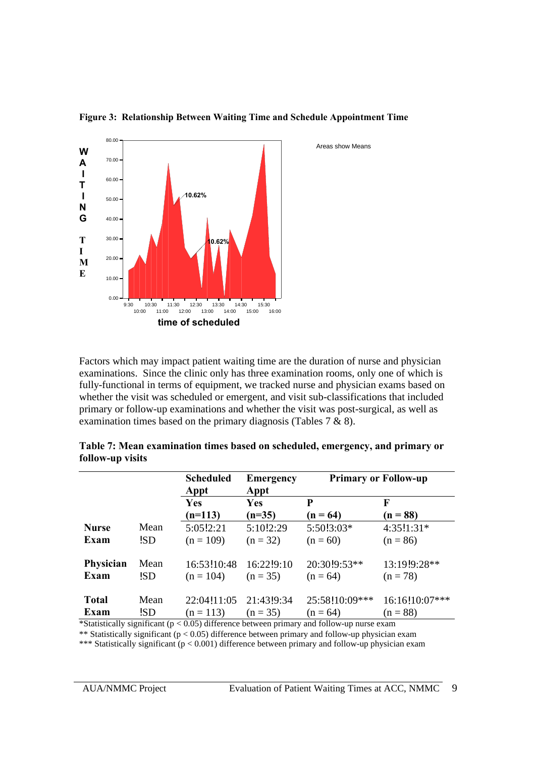

**Figure 3: Relationship Between Waiting Time and Schedule Appointment Time**

Areas show Means

Factors which may impact patient waiting time are the duration of nurse and physician examinations. Since the clinic only has three examination rooms, only one of which is fully-functional in terms of equipment, we tracked nurse and physician exams based on whether the visit was scheduled or emergent, and visit sub-classifications that included primary or follow-up examinations and whether the visit was post-surgical, as well as examination times based on the primary diagnosis (Tables 7 & 8).

|                      |             | <b>Scheduled</b><br>Appt   | <b>Emergency</b><br>Appt | <b>Primary or Follow-up</b>  |                              |
|----------------------|-------------|----------------------------|--------------------------|------------------------------|------------------------------|
|                      |             | Yes                        | Yes                      | P                            | F                            |
|                      |             | $(n=113)$                  | $(n=35)$                 | $(n = 64)$                   | $(n = 88)$                   |
| <b>Nurse</b>         | Mean        | 5:05!2:21                  | 5:10!2:29                | 5:50!3:03*                   | 4:35!1:31*                   |
| Exam                 | !SD         | $(n = 109)$                | $(n = 32)$               | $(n = 60)$                   | $(n = 86)$                   |
| Physician<br>Exam    | Mean<br>!SD | 16:53!10:48<br>$(n = 104)$ | 16:22!9:10<br>$(n = 35)$ | 20:30!9:53**<br>$(n = 64)$   | 13:19!9:28**<br>$(n = 78)$   |
| <b>Total</b><br>Exam | Mean<br>!SD | 22:04!11:05<br>$(n = 113)$ | 21:43!9:34<br>$(n = 35)$ | 25:58!10:09***<br>$(n = 64)$ | 16:16!10:07***<br>$(n = 88)$ |

|                  | Table 7: Mean examination times based on scheduled, emergency, and primary or |  |  |
|------------------|-------------------------------------------------------------------------------|--|--|
| follow-up visits |                                                                               |  |  |

\*Statistically significant ( $p < 0.05$ ) difference between primary and follow-up nurse exam

\*\* Statistically significant (p < 0.05) difference between primary and follow-up physician exam \*\*\* Statistically significant (p < 0.001) difference between primary and follow-up physician exam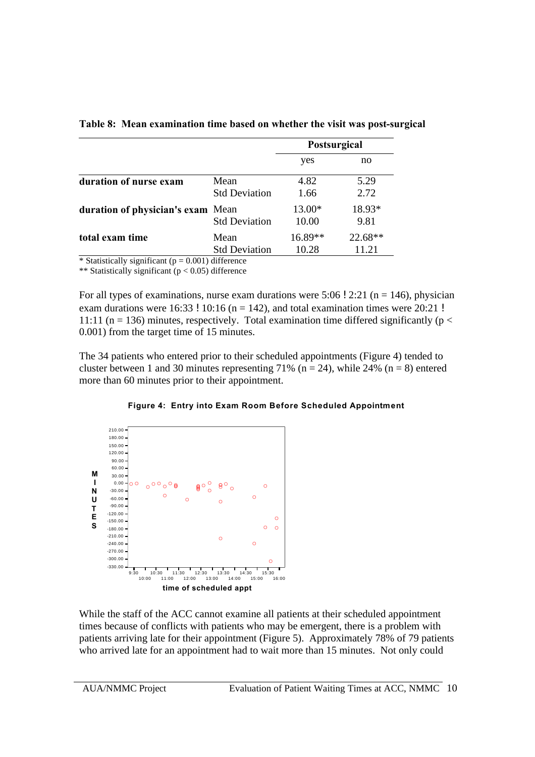|                                   |                              | Postsurgical       |                  |
|-----------------------------------|------------------------------|--------------------|------------------|
|                                   |                              | yes                | no               |
| duration of nurse exam            | Mean<br><b>Std Deviation</b> | 4.82<br>1.66       | 5.29<br>2.72     |
| duration of physician's exam Mean | <b>Std Deviation</b>         | 13.00*<br>10.00    | 18.93*<br>9.81   |
| total exam time                   | Mean<br><b>Std Deviation</b> | $16.89**$<br>10.28 | 22.68**<br>11.21 |

**Table 8: Mean examination time based on whether the visit was post-surgical**

\* Statistically significant ( $p = 0.001$ ) difference

\*\* Statistically significant ( $p < 0.05$ ) difference

For all types of examinations, nurse exam durations were  $5:06$  ! 2:21 (n = 146), physician exam durations were  $16:33$  !  $10:16$  (n = 142), and total examination times were  $20:21$  ! 11:11 ( $n = 136$ ) minutes, respectively. Total examination time differed significantly ( $p <$ 0.001) from the target time of 15 minutes.

The 34 patients who entered prior to their scheduled appointments (Figure 4) tended to cluster between 1 and 30 minutes representing 71% ( $n = 24$ ), while 24% ( $n = 8$ ) entered more than 60 minutes prior to their appointment.





While the staff of the ACC cannot examine all patients at their scheduled appointment times because of conflicts with patients who may be emergent, there is a problem with patients arriving late for their appointment (Figure 5). Approximately 78% of 79 patients who arrived late for an appointment had to wait more than 15 minutes. Not only could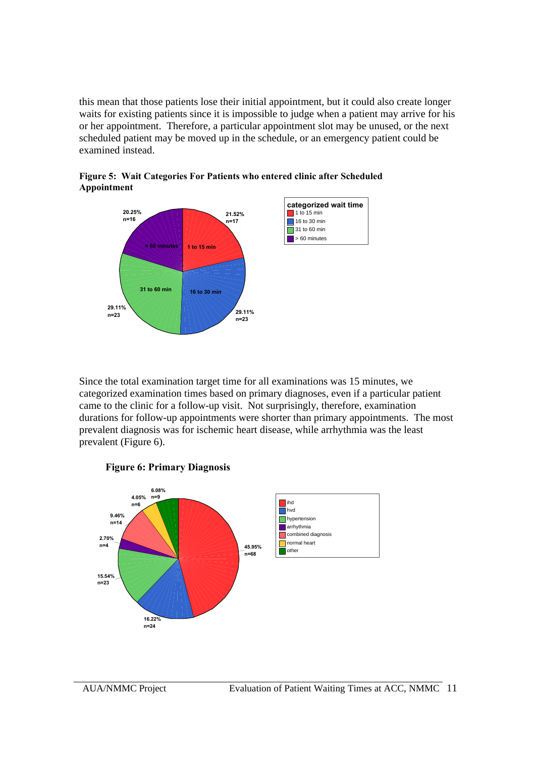this mean that those patients lose their initial appointment, but it could also create longer waits for existing patients since it is impossible to judge when a patient may arrive for his or her appointment. Therefore, a particular appointment slot may be unused, or the next scheduled patient may be moved up in the schedule, or an emergency patient could be examined instead.



**Figure 5: Wait Categories For Patients who entered clinic after Scheduled Appointment**

Since the total examination target time for all examinations was 15 minutes, we categorized examination times based on primary diagnoses, even if a particular patient came to the clinic for a follow-up visit. Not surprisingly, therefore, examination durations for follow-up appointments were shorter than primary appointments. The most prevalent diagnosis was for ischemic heart disease, while arrhythmia was the least prevalent (Figure 6).



**Figure 6: Primary Diagnosis**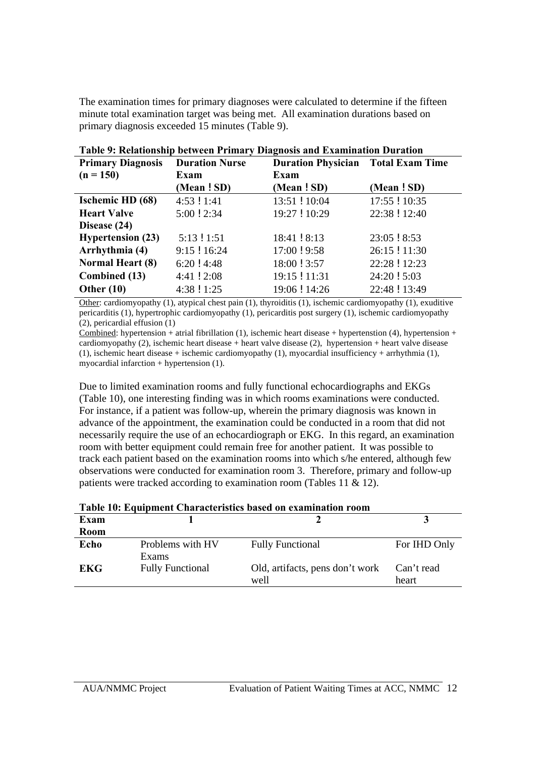The examination times for primary diagnoses were calculated to determine if the fifteen minute total examination target was being met. All examination durations based on primary diagnosis exceeded 15 minutes (Table 9).

|                          |                       | таріс 27 імпатонутр респеси і гіпца у ріадному ана планіннатой рагатой |               |
|--------------------------|-----------------------|------------------------------------------------------------------------|---------------|
| <b>Primary Diagnosis</b> | <b>Duration Nurse</b> | <b>Duration Physician</b> Total Exam Time                              |               |
| $(n = 150)$              | Exam                  | Exam                                                                   |               |
|                          | (Mean ! SD)           | (Mean ! SD)                                                            | (Mean ! SD)   |
| <b>Ischemic HD</b> (68)  | 4:53:1:41             | 13:51 ! 10:04                                                          | 17:55 ! 10:35 |
| <b>Heart Valve</b>       | 5:00 ! 2:34           | 19:27 ! 10:29                                                          | 22:38 ! 12:40 |
| Disease (24)             |                       |                                                                        |               |
| <b>Hypertension (23)</b> | 5:13:1:51             | 18:41 ! 8:13                                                           | 23:05 ! 8:53  |
| Arrhythmia (4)           | $9:15$ ! 16:24        | 17:00 ! 9:58                                                           | 26:15 ! 11:30 |
| <b>Normal Heart (8)</b>  | $6:20$ ! 4:48         | 18:00 ! 3:57                                                           | 22:28 ! 12:23 |
| Combined (13)            | $4:41$ ! $2:08$       | 19:15 ! 11:31                                                          | 24:20 ! 5:03  |
| Other $(10)$             | 4:38 ! 1:25           | 19:06 ! 14:26                                                          | 22:48 ! 13:49 |

**Table 9: Relationship between Primary Diagnosis and Examination Duration**

Other: cardiomyopathy (1), atypical chest pain (1), thyroiditis (1), ischemic cardiomyopathy (1), exuditive pericarditis (1), hypertrophic cardiomyopathy (1), pericarditis post surgery (1), ischemic cardiomyopathy (2), pericardial effusion (1)

Combined: hypertension + atrial fibrillation (1), ischemic heart disease + hypertenstion (4), hypertension + cardiomyopathy (2), ischemic heart disease + heart valve disease (2), hypertension + heart valve disease (1), ischemic heart disease + ischemic cardiomyopathy (1), myocardial insufficiency + arrhythmia (1), myocardial infarction  $+$  hypertension  $(1)$ .

Due to limited examination rooms and fully functional echocardiographs and EKGs (Table 10), one interesting finding was in which rooms examinations were conducted. For instance, if a patient was follow-up, wherein the primary diagnosis was known in advance of the appointment, the examination could be conducted in a room that did not necessarily require the use of an echocardiograph or EKG. In this regard, an examination room with better equipment could remain free for another patient. It was possible to track each patient based on the examination rooms into which s/he entered, although few observations were conducted for examination room 3. Therefore, primary and follow-up patients were tracked according to examination room (Tables 11 & 12).

| Table TV: Equipment Characteristics based on examination room |                         |                                 |              |  |  |
|---------------------------------------------------------------|-------------------------|---------------------------------|--------------|--|--|
| Exam                                                          |                         |                                 |              |  |  |
| Room                                                          |                         |                                 |              |  |  |
| Echo                                                          | Problems with HV        | <b>Fully Functional</b>         | For IHD Only |  |  |
|                                                               | <b>Exams</b>            |                                 |              |  |  |
| <b>EKG</b>                                                    | <b>Fully Functional</b> | Old, artifacts, pens don't work | Can't read   |  |  |
|                                                               |                         | well                            | heart        |  |  |

|  |  | Table 10: Equipment Characteristics based on examination room |
|--|--|---------------------------------------------------------------|
|--|--|---------------------------------------------------------------|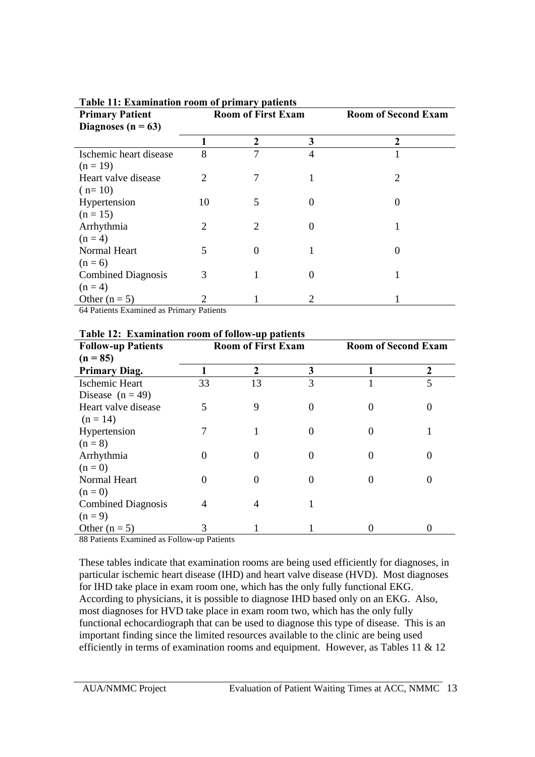| <b>Primary Patient</b><br>Diagnoses ( $n = 63$ ) | <b>Room of First Exam</b> |             | <b>Room of Second Exam</b> |                   |
|--------------------------------------------------|---------------------------|-------------|----------------------------|-------------------|
|                                                  |                           | $\mathbf 2$ | 3                          | $\mathbf 2$       |
| Ischemic heart disease                           | 8                         | 7           | 4                          |                   |
| $(n = 19)$                                       |                           |             |                            |                   |
| Heart valve disease                              | 2                         | 7           |                            | 2                 |
| $(n=10)$                                         |                           |             |                            |                   |
| Hypertension                                     | 10                        | 5           | $\theta$                   |                   |
| $(n = 15)$                                       |                           |             |                            |                   |
| Arrhythmia                                       | $\overline{2}$            | 2           | $\theta$                   | 1                 |
| $(n = 4)$                                        |                           |             |                            |                   |
| Normal Heart                                     | 5                         |             |                            | $\mathbf{\Omega}$ |
| $(n = 6)$                                        |                           |             |                            |                   |
| <b>Combined Diagnosis</b>                        | 3                         |             | 0                          |                   |
| $(n = 4)$                                        |                           |             |                            |                   |
| Other $(n = 5)$                                  |                           |             | 2                          |                   |
| 64 Detiants Examined as Drimary Detiants         |                           |             |                            |                   |

**Table 11: Examination room of primary patients**

64 Patients Examined as Primary Patients

| Table 12, Examination Toom of follow-up patients |                           |    |   |                            |                |
|--------------------------------------------------|---------------------------|----|---|----------------------------|----------------|
| <b>Follow-up Patients</b>                        | <b>Room of First Exam</b> |    |   | <b>Room of Second Exam</b> |                |
| $(n = 85)$                                       |                           |    |   |                            |                |
| <b>Primary Diag.</b>                             |                           | 2  | 3 |                            | $\overline{2}$ |
| Ischemic Heart                                   | 33                        | 13 | 3 |                            | 5              |
| Disease $(n = 49)$                               |                           |    |   |                            |                |
| Heart valve disease                              | 5                         | 9  | 0 |                            |                |
| $(n = 14)$                                       |                           |    |   |                            |                |
| Hypertension                                     |                           |    |   |                            |                |
| $(n = 8)$                                        |                           |    |   |                            |                |
| Arrhythmia                                       |                           |    |   |                            |                |
| $(n=0)$                                          |                           |    |   |                            |                |
| Normal Heart                                     |                           |    |   |                            |                |
| $(n=0)$                                          |                           |    |   |                            |                |
| <b>Combined Diagnosis</b>                        |                           |    |   |                            |                |
| $(n = 9)$                                        |                           |    |   |                            |                |
| Other $(n = 5)$                                  |                           |    |   |                            |                |

**Table 12: Examination room of follow-up patients**

88 Patients Examined as Follow-up Patients

These tables indicate that examination rooms are being used efficiently for diagnoses, in particular ischemic heart disease (IHD) and heart valve disease (HVD). Most diagnoses for IHD take place in exam room one, which has the only fully functional EKG. According to physicians, it is possible to diagnose IHD based only on an EKG. Also, most diagnoses for HVD take place in exam room two, which has the only fully functional echocardiograph that can be used to diagnose this type of disease. This is an important finding since the limited resources available to the clinic are being used efficiently in terms of examination rooms and equipment. However, as Tables 11 & 12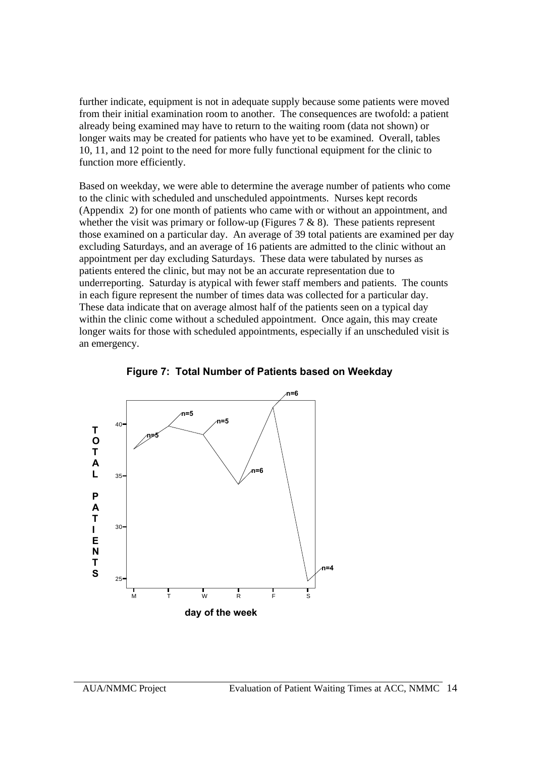further indicate, equipment is not in adequate supply because some patients were moved from their initial examination room to another. The consequences are twofold: a patient already being examined may have to return to the waiting room (data not shown) or longer waits may be created for patients who have yet to be examined. Overall, tables 10, 11, and 12 point to the need for more fully functional equipment for the clinic to function more efficiently.

Based on weekday, we were able to determine the average number of patients who come to the clinic with scheduled and unscheduled appointments. Nurses kept records (Appendix 2) for one month of patients who came with or without an appointment, and whether the visit was primary or follow-up (Figures  $7 & 8$ ). These patients represent those examined on a particular day. An average of 39 total patients are examined per day excluding Saturdays, and an average of 16 patients are admitted to the clinic without an appointment per day excluding Saturdays. These data were tabulated by nurses as patients entered the clinic, but may not be an accurate representation due to underreporting. Saturday is atypical with fewer staff members and patients. The counts in each figure represent the number of times data was collected for a particular day. These data indicate that on average almost half of the patients seen on a typical day within the clinic come without a scheduled appointment. Once again, this may create longer waits for those with scheduled appointments, especially if an unscheduled visit is an emergency.



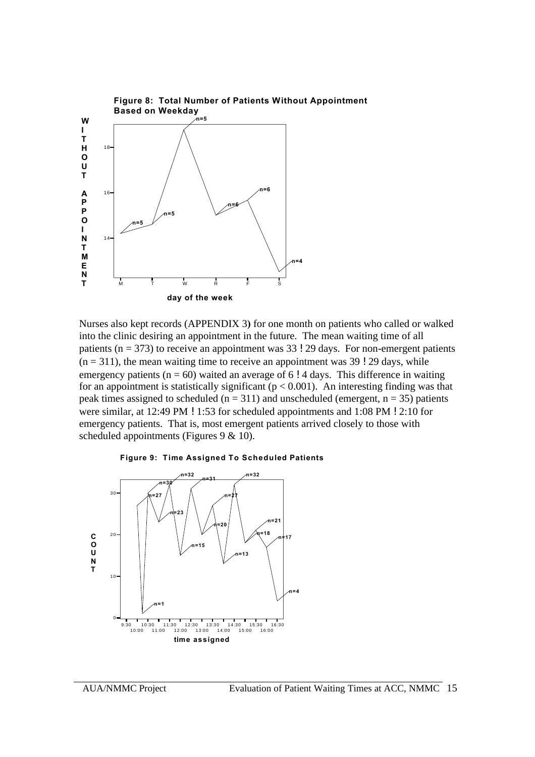

Nurses also kept records (APPENDIX 3**)** for one month on patients who called or walked into the clinic desiring an appointment in the future. The mean waiting time of all patients ( $n = 373$ ) to receive an appointment was 33 ! 29 days. For non-emergent patients  $(n = 311)$ , the mean waiting time to receive an appointment was 39 ! 29 days, while emergency patients ( $n = 60$ ) waited an average of 6 ! 4 days. This difference in waiting for an appointment is statistically significant ( $p < 0.001$ ). An interesting finding was that peak times assigned to scheduled ( $n = 311$ ) and unscheduled (emergent,  $n = 35$ ) patients were similar, at 12:49 PM ! 1:53 for scheduled appointments and 1:08 PM ! 2:10 for emergency patients. That is, most emergent patients arrived closely to those with scheduled appointments (Figures 9 & 10).



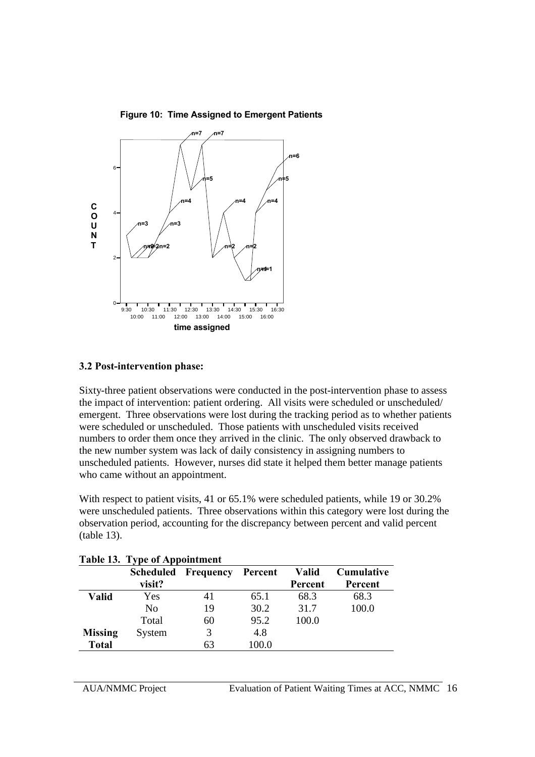

**Figure 10: Time Assigned to Emergent Patients**

#### **3.2 Post-intervention phase:**

Sixty-three patient observations were conducted in the post-intervention phase to assess the impact of intervention: patient ordering. All visits were scheduled or unscheduled/ emergent. Three observations were lost during the tracking period as to whether patients were scheduled or unscheduled. Those patients with unscheduled visits received numbers to order them once they arrived in the clinic. The only observed drawback to the new number system was lack of daily consistency in assigning numbers to unscheduled patients. However, nurses did state it helped them better manage patients who came without an appointment.

With respect to patient visits, 41 or 65.1% were scheduled patients, while 19 or 30.2% were unscheduled patients. Three observations within this category were lost during the observation period, accounting for the discrepancy between percent and valid percent (table 13).

|                | <b>Scheduled</b> | Frequency | Percent | Valid   | Cumulative |
|----------------|------------------|-----------|---------|---------|------------|
|                | visit?           |           |         | Percent | Percent    |
| <b>Valid</b>   | Yes              | 41        | 65.1    | 68.3    | 68.3       |
|                | No               | 19        | 30.2    | 31.7    | 100.0      |
|                | Total            | 60        | 95.2    | 100.0   |            |
| <b>Missing</b> | System           | 3         | 4.8     |         |            |
| <b>Total</b>   |                  | 63        | 100.0   |         |            |

**Table 13. Type of Appointment**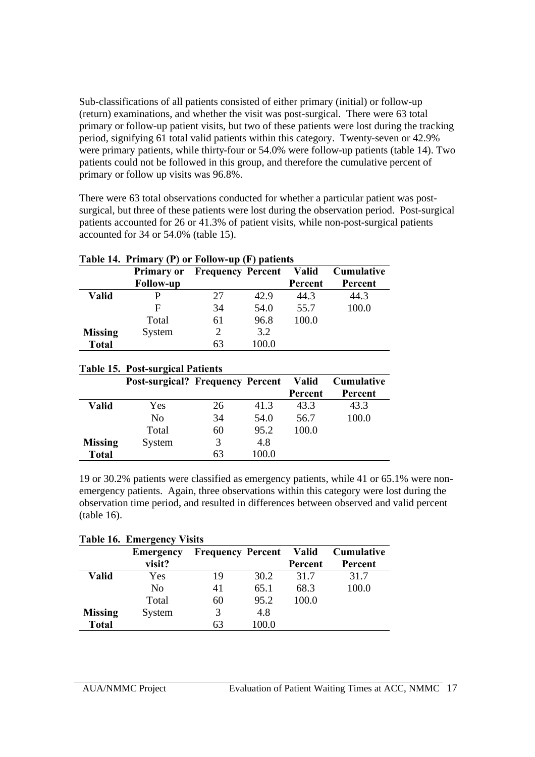Sub-classifications of all patients consisted of either primary (initial) or follow-up (return) examinations, and whether the visit was post-surgical. There were 63 total primary or follow-up patient visits, but two of these patients were lost during the tracking period, signifying 61 total valid patients within this category. Twenty-seven or 42.9% were primary patients, while thirty-four or 54.0% were follow-up patients (table 14). Two patients could not be followed in this group, and therefore the cumulative percent of primary or follow up visits was 96.8%.

There were 63 total observations conducted for whether a particular patient was postsurgical, but three of these patients were lost during the observation period. Post-surgical patients accounted for 26 or 41.3% of patient visits, while non-post-surgical patients accounted for 34 or 54.0% (table 15).

| Table 14. Primary (P) or Follow-up (F) patients |                   |                                |       |         |                   |
|-------------------------------------------------|-------------------|--------------------------------|-------|---------|-------------------|
|                                                 | <b>Primary or</b> | <b>Frequency Percent Valid</b> |       |         | <b>Cumulative</b> |
|                                                 | <b>Follow-up</b>  |                                |       | Percent | Percent           |
| <b>Valid</b>                                    |                   | 27                             | 42.9  | 44.3    | 44.3              |
|                                                 | F                 | 34                             | 54.0  | 55.7    | 100.0             |
|                                                 | Total             | 61                             | 96.8  | 100.0   |                   |
| <b>Missing</b>                                  | System            | 2                              | 3.2   |         |                   |
| <b>Total</b>                                    |                   | 63                             | 100.0 |         |                   |

| <b>Table 15. Post-surgical Patients</b> |                                         |    |       |              |                   |  |
|-----------------------------------------|-----------------------------------------|----|-------|--------------|-------------------|--|
|                                         | <b>Post-surgical? Frequency Percent</b> |    |       | <b>Valid</b> | <b>Cumulative</b> |  |
|                                         |                                         |    |       | Percent      | Percent           |  |
| <b>Valid</b>                            | Yes                                     | 26 | 41.3  | 43.3         | 43.3              |  |
|                                         | N <sub>0</sub>                          | 34 | 54.0  | 56.7         | 100.0             |  |
|                                         | Total                                   | 60 | 95.2  | 100.0        |                   |  |
| <b>Missing</b>                          | System                                  | 3  | 4.8   |              |                   |  |
| <b>Total</b>                            |                                         | 63 | 100.0 |              |                   |  |

19 or 30.2% patients were classified as emergency patients, while 41 or 65.1% were nonemergency patients. Again, three observations within this category were lost during the observation time period, and resulted in differences between observed and valid percent (table 16).

| <b>Table 16. Emergency Visits</b> |                  |                          |       |         |                   |  |
|-----------------------------------|------------------|--------------------------|-------|---------|-------------------|--|
|                                   | <b>Emergency</b> | <b>Frequency Percent</b> |       | Valid   | <b>Cumulative</b> |  |
|                                   | visit?           |                          |       | Percent | Percent           |  |
| <b>Valid</b>                      | Yes              | 19                       | 30.2  | 31.7    | 31.7              |  |
|                                   | N <sub>0</sub>   | 41                       | 65.1  | 68.3    | 100.0             |  |
|                                   | Total            | 60                       | 95.2  | 100.0   |                   |  |
| <b>Missing</b>                    | System           | 3                        | 4.8   |         |                   |  |
| <b>Total</b>                      |                  | 63                       | 100.0 |         |                   |  |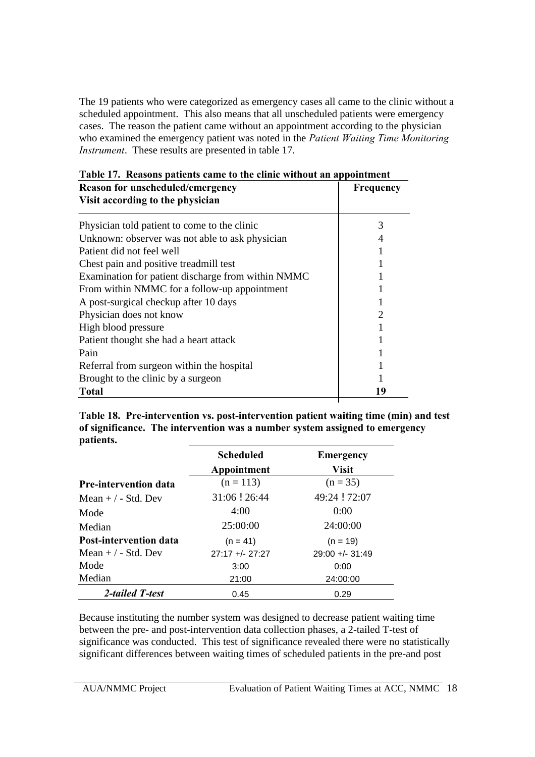The 19 patients who were categorized as emergency cases all came to the clinic without a scheduled appointment. This also means that all unscheduled patients were emergency cases. The reason the patient came without an appointment according to the physician who examined the emergency patient was noted in the *Patient Waiting Time Monitoring Instrument*. These results are presented in table 17.

| Reason for unscheduled/emergency                   | Frequency |
|----------------------------------------------------|-----------|
| Visit according to the physician                   |           |
| Physician told patient to come to the clinic       | 3         |
| Unknown: observer was not able to ask physician    | 4         |
| Patient did not feel well                          |           |
| Chest pain and positive treadmill test             |           |
| Examination for patient discharge from within NMMC |           |
| From within NMMC for a follow-up appointment       |           |
| A post-surgical checkup after 10 days              |           |
| Physician does not know                            | 2         |
| High blood pressure                                |           |
| Patient thought she had a heart attack             |           |
| Pain                                               |           |
| Referral from surgeon within the hospital          |           |
| Brought to the clinic by a surgeon                 |           |
| Total                                              | 19        |

|  | Table 17. Reasons patients came to the clinic without an appointment                                 |  |                      |
|--|------------------------------------------------------------------------------------------------------|--|----------------------|
|  | $\mathbf{D}_{\alpha\alpha\alpha\alpha\gamma}$ for weaked and $\alpha$ and $\alpha\alpha\alpha\gamma$ |  | $\Gamma$ 10001101011 |

**Table 18. Pre-intervention vs. post-intervention patient waiting time (min) and test of significance. The intervention was a number system assigned to emergency patients.**

|                   | <b>Emergency</b> |
|-------------------|------------------|
| Appointment       | <b>Visit</b>     |
| $(n = 113)$       | $(n = 35)$       |
| 31:06 ! 26:44     | 49:24 ! 72:07    |
| 4:00              | 0:00             |
| 25:00:00          | 24:00:00         |
| $(n = 41)$        | $(n = 19)$       |
| $27:17 +/- 27:27$ | $29:00 + -31:49$ |
| 3:00              | 0:00             |
| 21:00             | 24:00:00         |
| 0.45              | 0.29             |
|                   | <b>Scheduled</b> |

Because instituting the number system was designed to decrease patient waiting time between the pre- and post-intervention data collection phases, a 2-tailed T-test of significance was conducted. This test of significance revealed there were no statistically significant differences between waiting times of scheduled patients in the pre-and post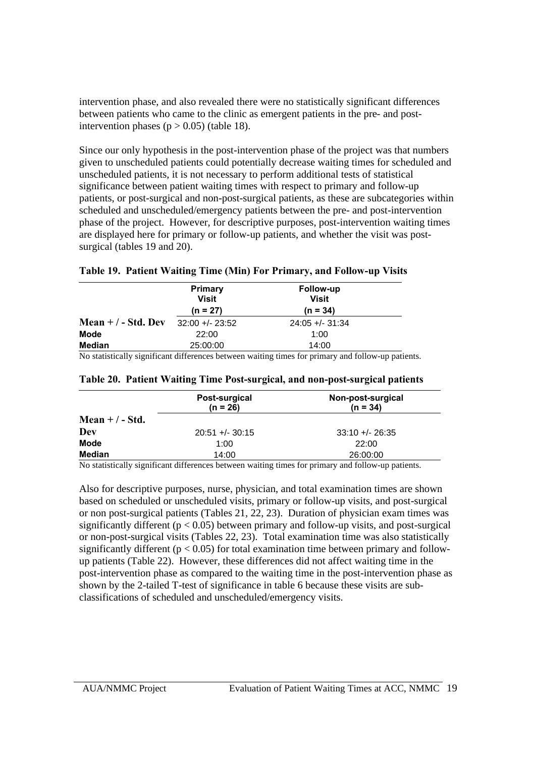intervention phase, and also revealed there were no statistically significant differences between patients who came to the clinic as emergent patients in the pre- and postintervention phases ( $p > 0.05$ ) (table 18).

Since our only hypothesis in the post-intervention phase of the project was that numbers given to unscheduled patients could potentially decrease waiting times for scheduled and unscheduled patients, it is not necessary to perform additional tests of statistical significance between patient waiting times with respect to primary and follow-up patients, or post-surgical and non-post-surgical patients, as these are subcategories within scheduled and unscheduled/emergency patients between the pre- and post-intervention phase of the project. However, for descriptive purposes, post-intervention waiting times are displayed here for primary or follow-up patients, and whether the visit was postsurgical (tables 19 and 20).

|  |  |  |  |  |  |  |  | Table 19. Patient Waiting Time (Min) For Primary, and Follow-up Visits |  |
|--|--|--|--|--|--|--|--|------------------------------------------------------------------------|--|
|--|--|--|--|--|--|--|--|------------------------------------------------------------------------|--|

|                                                                                                                                                                     | <b>Primary</b><br>Visit<br>$(n = 27)$ | Follow-up<br><b>Visit</b><br>$(n = 34)$                                                                                                 |  |
|---------------------------------------------------------------------------------------------------------------------------------------------------------------------|---------------------------------------|-----------------------------------------------------------------------------------------------------------------------------------------|--|
| Mean $+$ / - Std. Dev                                                                                                                                               | $32:00 + -23:52$                      | $24:05 +/- 31:34$                                                                                                                       |  |
| <b>Mode</b>                                                                                                                                                         | 22:00                                 | 1:00                                                                                                                                    |  |
| <b>Median</b>                                                                                                                                                       | 25:00:00                              | 14:00                                                                                                                                   |  |
| $\mathbf{A} \mathbf{A}$ and $\mathbf{A} \mathbf{A}$ and $\mathbf{A} \mathbf{A}$ and $\mathbf{A} \mathbf{A}$ and $\mathbf{A} \mathbf{A}$ and $\mathbf{A} \mathbf{A}$ | $\cdots$                              | the contract of the contract of the contract of the contract of the contract of the contract of the contract of<br>1.0.11<br>$\epsilon$ |  |

No statistically significant differences between waiting times for primary and follow-up patients.

|                 | Post-surgical<br>$(n = 26)$ | Non-post-surgical<br>$(n = 34)$ |
|-----------------|-----------------------------|---------------------------------|
| Mean $+/-$ Std. |                             |                                 |
| Dev             | $20:51 +/- 30:15$           | $33:10 + - 26:35$               |
| <b>Mode</b>     | 1:00                        | 22:00                           |
| <b>Median</b>   | 14:00                       | 26:00:00                        |

#### **Table 20. Patient Waiting Time Post-surgical, and non-post-surgical patients**

No statistically significant differences between waiting times for primary and follow-up patients.

Also for descriptive purposes, nurse, physician, and total examination times are shown based on scheduled or unscheduled visits, primary or follow-up visits, and post-surgical or non post-surgical patients (Tables 21, 22, 23). Duration of physician exam times was significantly different ( $p < 0.05$ ) between primary and follow-up visits, and post-surgical or non-post-surgical visits (Tables 22, 23). Total examination time was also statistically significantly different ( $p < 0.05$ ) for total examination time between primary and followup patients (Table 22). However, these differences did not affect waiting time in the post-intervention phase as compared to the waiting time in the post-intervention phase as shown by the 2-tailed T-test of significance in table 6 because these visits are subclassifications of scheduled and unscheduled/emergency visits.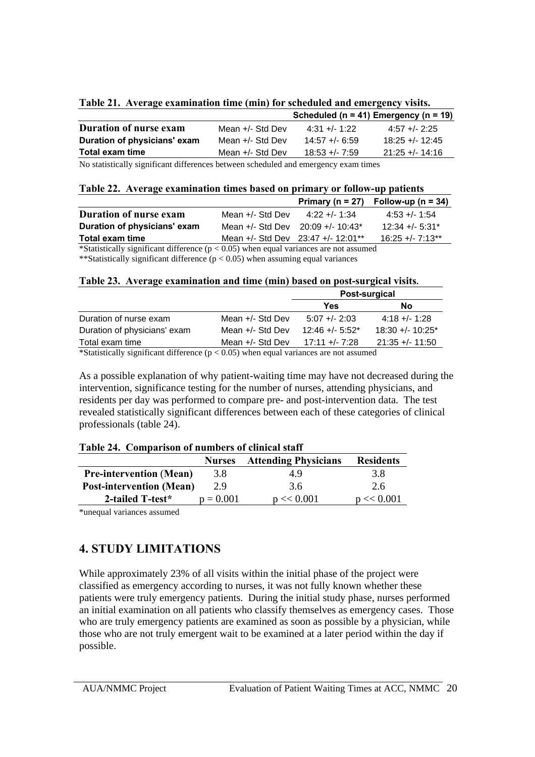| Table 21. Average examination time (min) for scheduled and emergency visits. |  |  |
|------------------------------------------------------------------------------|--|--|
|                                                                              |  |  |

|                               |                    |                  | Scheduled ( $n = 41$ ) Emergency ( $n = 19$ ) |
|-------------------------------|--------------------|------------------|-----------------------------------------------|
| <b>Duration of nurse exam</b> | Mean $+/-$ Std Dev | $4:31 + (-1:22)$ | $4:57 + - 2:25$                               |
| Duration of physicians' exam  | Mean $+/-$ Std Dev | $14.57 + 6.59$   | $18:25 + - 12:45$                             |
| Total exam time               | Mean $+/-$ Std Dev | $18:53 + 7:59$   | $21:25 + - 14:16$                             |

No statistically significant differences between scheduled and emergency exam times

| Table 22. Average examination times based on primary or follow-up patients |  |  |
|----------------------------------------------------------------------------|--|--|
|                                                                            |  |  |

|                                                                          |                                        |               | Primary ( $n = 27$ ) Follow-up ( $n = 34$ ) |
|--------------------------------------------------------------------------|----------------------------------------|---------------|---------------------------------------------|
| <b>Duration of nurse exam</b>                                            | Mean $+/-$ Std Dev                     | $4:22 + 1:34$ | $4:53 + (-1:54)$                            |
| Duration of physicians' exam                                             | Mean $+/-$ Std Dev 20:09 $+/- 10:43*$  |               | $12:34 + 5:31*$                             |
| Total exam time                                                          | Mean $+/-$ Std Dev 23:47 $+/-$ 12:01** |               | $16:25 + (-7:13**$                          |
| $\mathbf{a} \cdot \mathbf{a}$ . The set of $\mathbf{a} \cdot \mathbf{a}$ | $\lambda$ 0.05 $\lambda$ 1 $\lambda$   |               |                                             |

\*Statistically significant difference ( $p < 0.05$ ) when equal variances are not assumed \*\*Statistically significant difference  $(p < 0.05)$  when assuming equal variances

#### **Table 23. Average examination and time (min) based on post-surgical visits.**

|                                                                                                                                                                                              |                                                       | Post-surgical    |                     |  |
|----------------------------------------------------------------------------------------------------------------------------------------------------------------------------------------------|-------------------------------------------------------|------------------|---------------------|--|
|                                                                                                                                                                                              |                                                       | Yes              | No                  |  |
| Duration of nurse exam                                                                                                                                                                       | Mean $+/-$ Std Dev                                    | $5:07 + - 2:03$  | $4:18 + - 1:28$     |  |
| Duration of physicians' exam                                                                                                                                                                 | Mean $+/-$ Std Dev                                    | $12:46 + -5:52*$ | $18:30 + (-10:25*)$ |  |
| Total exam time                                                                                                                                                                              | Mean $+/-$ Std Dev                                    | 17:11 +/- 7:28   | $21:35 + - 11:50$   |  |
| $\sim$ $\sim$ $\sim$ $\sim$<br>$\mathcal{L}$ , $\mathcal{L}$ , $\mathcal{L}$ , $\mathcal{L}$ , $\mathcal{L}$ , $\mathcal{L}$ , $\mathcal{L}$ , $\mathcal{L}$ , $\mathcal{L}$ , $\mathcal{L}$ | $\bigcap_{i=1}^n$ $\bigcap_{i=1}^n$ $\bigcap_{i=1}^n$ |                  |                     |  |

\*Statistically significant difference ( $p < 0.05$ ) when equal variances are not assumed

As a possible explanation of why patient-waiting time may have not decreased during the intervention, significance testing for the number of nurses, attending physicians, and residents per day was performed to compare pre- and post-intervention data. The test revealed statistically significant differences between each of these categories of clinical professionals (table 24).

|  |  |  | Table 24. Comparison of numbers of clinical staff |
|--|--|--|---------------------------------------------------|
|--|--|--|---------------------------------------------------|

|                                 | <b>Nurses</b> | <b>Attending Physicians</b> | <b>Residents</b> |
|---------------------------------|---------------|-----------------------------|------------------|
| <b>Pre-intervention (Mean)</b>  | 3.8           | 49                          | 3.8              |
| <b>Post-intervention (Mean)</b> | 2.9           | 3.6                         | 2.6              |
| 2-tailed T-test*                | $p = 0.001$   | $p \ll 0.001$               | $p \ll 0.001$    |
|                                 |               |                             |                  |

\*unequal variances assumed

# **4. STUDY LIMITATIONS**

While approximately 23% of all visits within the initial phase of the project were classified as emergency according to nurses, it was not fully known whether these patients were truly emergency patients. During the initial study phase, nurses performed an initial examination on all patients who classify themselves as emergency cases. Those who are truly emergency patients are examined as soon as possible by a physician, while those who are not truly emergent wait to be examined at a later period within the day if possible.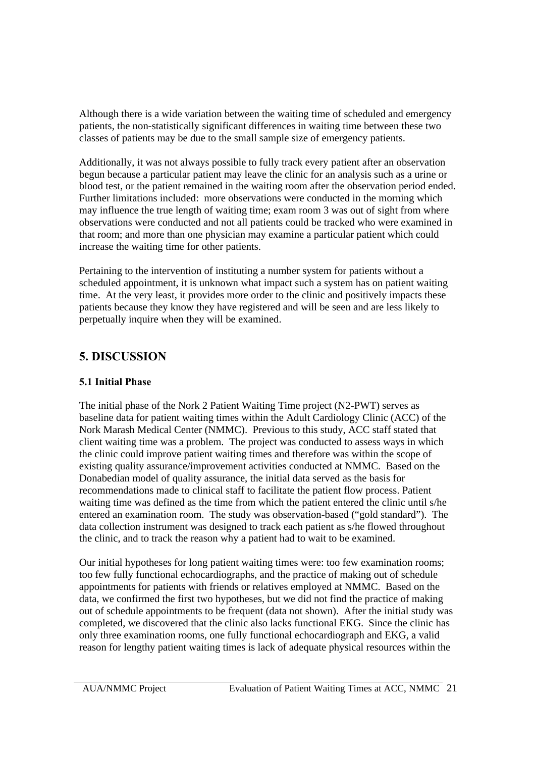Although there is a wide variation between the waiting time of scheduled and emergency patients, the non-statistically significant differences in waiting time between these two classes of patients may be due to the small sample size of emergency patients.

Additionally, it was not always possible to fully track every patient after an observation begun because a particular patient may leave the clinic for an analysis such as a urine or blood test, or the patient remained in the waiting room after the observation period ended. Further limitations included: more observations were conducted in the morning which may influence the true length of waiting time; exam room 3 was out of sight from where observations were conducted and not all patients could be tracked who were examined in that room; and more than one physician may examine a particular patient which could increase the waiting time for other patients.

Pertaining to the intervention of instituting a number system for patients without a scheduled appointment, it is unknown what impact such a system has on patient waiting time. At the very least, it provides more order to the clinic and positively impacts these patients because they know they have registered and will be seen and are less likely to perpetually inquire when they will be examined.

# **5. DISCUSSION**

# **5.1 Initial Phase**

The initial phase of the Nork 2 Patient Waiting Time project (N2-PWT) serves as baseline data for patient waiting times within the Adult Cardiology Clinic (ACC) of the Nork Marash Medical Center (NMMC). Previous to this study, ACC staff stated that client waiting time was a problem. The project was conducted to assess ways in which the clinic could improve patient waiting times and therefore was within the scope of existing quality assurance/improvement activities conducted at NMMC. Based on the Donabedian model of quality assurance, the initial data served as the basis for recommendations made to clinical staff to facilitate the patient flow process. Patient waiting time was defined as the time from which the patient entered the clinic until s/he entered an examination room. The study was observation-based ("gold standard"). The data collection instrument was designed to track each patient as s/he flowed throughout the clinic, and to track the reason why a patient had to wait to be examined.

Our initial hypotheses for long patient waiting times were: too few examination rooms; too few fully functional echocardiographs, and the practice of making out of schedule appointments for patients with friends or relatives employed at NMMC. Based on the data, we confirmed the first two hypotheses, but we did not find the practice of making out of schedule appointments to be frequent (data not shown). After the initial study was completed, we discovered that the clinic also lacks functional EKG. Since the clinic has only three examination rooms, one fully functional echocardiograph and EKG, a valid reason for lengthy patient waiting times is lack of adequate physical resources within the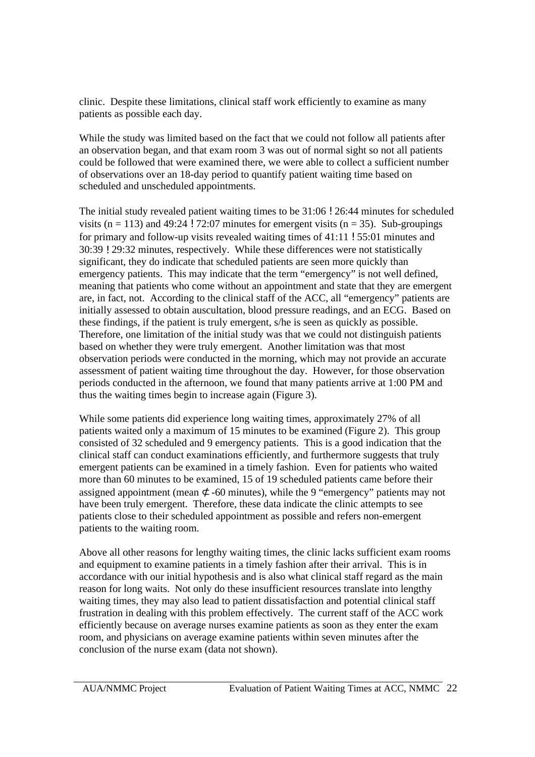clinic. Despite these limitations, clinical staff work efficiently to examine as many patients as possible each day.

While the study was limited based on the fact that we could not follow all patients after an observation began, and that exam room 3 was out of normal sight so not all patients could be followed that were examined there, we were able to collect a sufficient number of observations over an 18-day period to quantify patient waiting time based on scheduled and unscheduled appointments.

The initial study revealed patient waiting times to be 31:06 ! 26:44 minutes for scheduled visits ( $n = 113$ ) and 49:24 ! 72:07 minutes for emergent visits ( $n = 35$ ). Sub-groupings for primary and follow-up visits revealed waiting times of 41:11 ! 55:01 minutes and 30:39 ! 29:32 minutes, respectively. While these differences were not statistically significant, they do indicate that scheduled patients are seen more quickly than emergency patients. This may indicate that the term "emergency" is not well defined, meaning that patients who come without an appointment and state that they are emergent are, in fact, not. According to the clinical staff of the ACC, all "emergency" patients are initially assessed to obtain auscultation, blood pressure readings, and an ECG. Based on these findings, if the patient is truly emergent, s/he is seen as quickly as possible. Therefore, one limitation of the initial study was that we could not distinguish patients based on whether they were truly emergent. Another limitation was that most observation periods were conducted in the morning, which may not provide an accurate assessment of patient waiting time throughout the day. However, for those observation periods conducted in the afternoon, we found that many patients arrive at 1:00 PM and thus the waiting times begin to increase again (Figure 3).

While some patients did experience long waiting times, approximately 27% of all patients waited only a maximum of 15 minutes to be examined (Figure 2). This group consisted of 32 scheduled and 9 emergency patients. This is a good indication that the clinical staff can conduct examinations efficiently, and furthermore suggests that truly emergent patients can be examined in a timely fashion. Even for patients who waited more than 60 minutes to be examined, 15 of 19 scheduled patients came before their assigned appointment (mean  $\sigma$  -60 minutes), while the 9 "emergency" patients may not have been truly emergent. Therefore, these data indicate the clinic attempts to see patients close to their scheduled appointment as possible and refers non-emergent patients to the waiting room.

Above all other reasons for lengthy waiting times, the clinic lacks sufficient exam rooms and equipment to examine patients in a timely fashion after their arrival. This is in accordance with our initial hypothesis and is also what clinical staff regard as the main reason for long waits. Not only do these insufficient resources translate into lengthy waiting times, they may also lead to patient dissatisfaction and potential clinical staff frustration in dealing with this problem effectively. The current staff of the ACC work efficiently because on average nurses examine patients as soon as they enter the exam room, and physicians on average examine patients within seven minutes after the conclusion of the nurse exam (data not shown).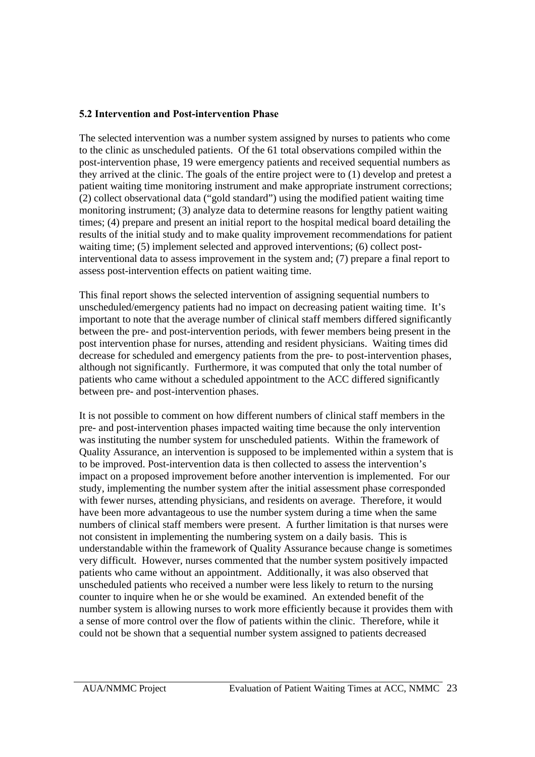### **5.2 Intervention and Post-intervention Phase**

The selected intervention was a number system assigned by nurses to patients who come to the clinic as unscheduled patients. Of the 61 total observations compiled within the post-intervention phase, 19 were emergency patients and received sequential numbers as they arrived at the clinic. The goals of the entire project were to (1) develop and pretest a patient waiting time monitoring instrument and make appropriate instrument corrections; (2) collect observational data ("gold standard") using the modified patient waiting time monitoring instrument; (3) analyze data to determine reasons for lengthy patient waiting times; (4) prepare and present an initial report to the hospital medical board detailing the results of the initial study and to make quality improvement recommendations for patient waiting time; (5) implement selected and approved interventions; (6) collect postinterventional data to assess improvement in the system and; (7) prepare a final report to assess post-intervention effects on patient waiting time.

This final report shows the selected intervention of assigning sequential numbers to unscheduled/emergency patients had no impact on decreasing patient waiting time. It's important to note that the average number of clinical staff members differed significantly between the pre- and post-intervention periods, with fewer members being present in the post intervention phase for nurses, attending and resident physicians. Waiting times did decrease for scheduled and emergency patients from the pre- to post-intervention phases, although not significantly. Furthermore, it was computed that only the total number of patients who came without a scheduled appointment to the ACC differed significantly between pre- and post-intervention phases.

It is not possible to comment on how different numbers of clinical staff members in the pre- and post-intervention phases impacted waiting time because the only intervention was instituting the number system for unscheduled patients. Within the framework of Quality Assurance, an intervention is supposed to be implemented within a system that is to be improved. Post-intervention data is then collected to assess the intervention's impact on a proposed improvement before another intervention is implemented. For our study, implementing the number system after the initial assessment phase corresponded with fewer nurses, attending physicians, and residents on average. Therefore, it would have been more advantageous to use the number system during a time when the same numbers of clinical staff members were present. A further limitation is that nurses were not consistent in implementing the numbering system on a daily basis. This is understandable within the framework of Quality Assurance because change is sometimes very difficult. However, nurses commented that the number system positively impacted patients who came without an appointment. Additionally, it was also observed that unscheduled patients who received a number were less likely to return to the nursing counter to inquire when he or she would be examined. An extended benefit of the number system is allowing nurses to work more efficiently because it provides them with a sense of more control over the flow of patients within the clinic. Therefore, while it could not be shown that a sequential number system assigned to patients decreased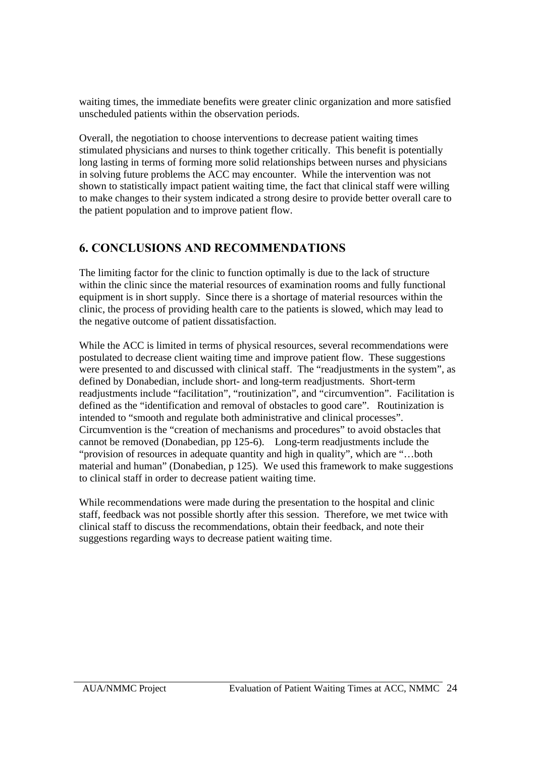waiting times, the immediate benefits were greater clinic organization and more satisfied unscheduled patients within the observation periods.

Overall, the negotiation to choose interventions to decrease patient waiting times stimulated physicians and nurses to think together critically. This benefit is potentially long lasting in terms of forming more solid relationships between nurses and physicians in solving future problems the ACC may encounter. While the intervention was not shown to statistically impact patient waiting time, the fact that clinical staff were willing to make changes to their system indicated a strong desire to provide better overall care to the patient population and to improve patient flow.

# **6. CONCLUSIONS AND RECOMMENDATIONS**

The limiting factor for the clinic to function optimally is due to the lack of structure within the clinic since the material resources of examination rooms and fully functional equipment is in short supply. Since there is a shortage of material resources within the clinic, the process of providing health care to the patients is slowed, which may lead to the negative outcome of patient dissatisfaction.

While the ACC is limited in terms of physical resources, several recommendations were postulated to decrease client waiting time and improve patient flow. These suggestions were presented to and discussed with clinical staff. The "readjustments in the system", as defined by Donabedian, include short- and long-term readjustments. Short-term readjustments include "facilitation", "routinization", and "circumvention". Facilitation is defined as the "identification and removal of obstacles to good care". Routinization is intended to "smooth and regulate both administrative and clinical processes". Circumvention is the "creation of mechanisms and procedures" to avoid obstacles that cannot be removed (Donabedian, pp 125-6). Long-term readjustments include the "provision of resources in adequate quantity and high in quality", which are "…both material and human" (Donabedian, p 125). We used this framework to make suggestions to clinical staff in order to decrease patient waiting time.

While recommendations were made during the presentation to the hospital and clinic staff, feedback was not possible shortly after this session. Therefore, we met twice with clinical staff to discuss the recommendations, obtain their feedback, and note their suggestions regarding ways to decrease patient waiting time.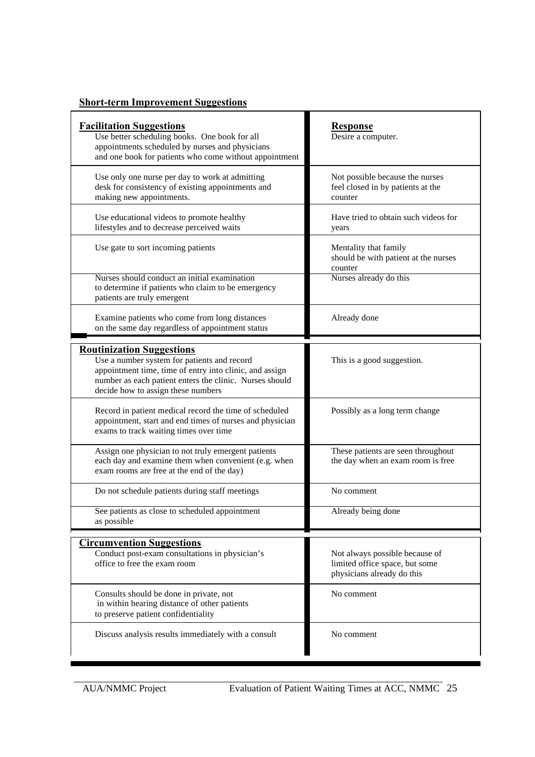# **Short-term Improvement Suggestions**

| <b>Facilitation Suggestions</b><br>Use better scheduling books. One book for all<br>appointments scheduled by nurses and physicians<br>and one book for patients who come without appointment                                               | <b>Response</b><br>Desire a computer.                                                          |
|---------------------------------------------------------------------------------------------------------------------------------------------------------------------------------------------------------------------------------------------|------------------------------------------------------------------------------------------------|
| Use only one nurse per day to work at admitting<br>desk for consistency of existing appointments and<br>making new appointments.                                                                                                            | Not possible because the nurses<br>feel closed in by patients at the<br>counter                |
| Use educational videos to promote healthy<br>lifestyles and to decrease perceived waits                                                                                                                                                     | Have tried to obtain such videos for<br>years                                                  |
| Use gate to sort incoming patients                                                                                                                                                                                                          | Mentality that family<br>should be with patient at the nurses<br>counter                       |
| Nurses should conduct an initial examination<br>to determine if patients who claim to be emergency<br>patients are truly emergent                                                                                                           | Nurses already do this                                                                         |
| Examine patients who come from long distances<br>on the same day regardless of appointment status                                                                                                                                           | Already done                                                                                   |
| <b>Routinization Suggestions</b><br>Use a number system for patients and record<br>appointment time, time of entry into clinic, and assign<br>number as each patient enters the clinic. Nurses should<br>decide how to assign these numbers | This is a good suggestion.                                                                     |
| Record in patient medical record the time of scheduled<br>appointment, start and end times of nurses and physician<br>exams to track waiting times over time                                                                                | Possibly as a long term change                                                                 |
| Assign one physician to not truly emergent patients<br>each day and examine them when convenient (e.g. when<br>exam rooms are free at the end of the day)                                                                                   | These patients are seen throughout<br>the day when an exam room is free                        |
| Do not schedule patients during staff meetings                                                                                                                                                                                              | No comment                                                                                     |
| See patients as close to scheduled appointment<br>as possible                                                                                                                                                                               | Already being done                                                                             |
| <b>Circumvention Suggestions</b>                                                                                                                                                                                                            |                                                                                                |
| Conduct post-exam consultations in physician's<br>office to free the exam room                                                                                                                                                              | Not always possible because of<br>limited office space, but some<br>physicians already do this |
| Consults should be done in private, not<br>in within hearing distance of other patients<br>to preserve patient confidentiality                                                                                                              | No comment                                                                                     |
| Discuss analysis results immediately with a consult                                                                                                                                                                                         | No comment                                                                                     |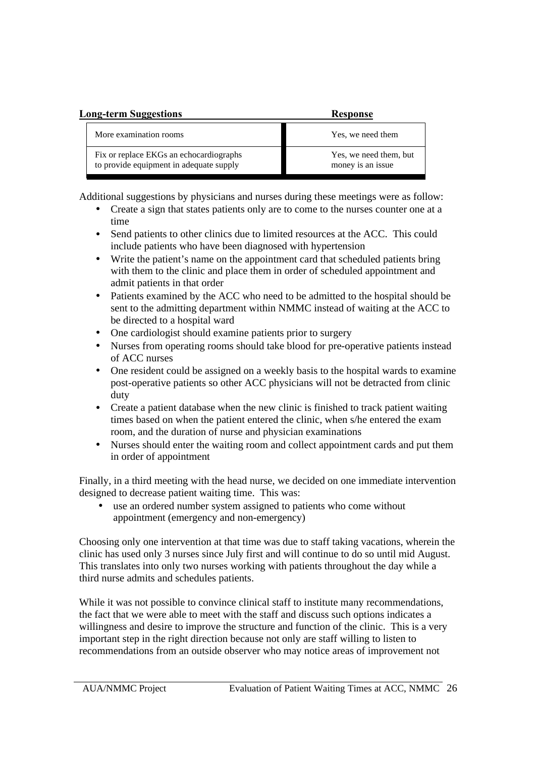| <b>Long-term Suggestions</b>                                                       | <b>Response</b>                             |  |  |  |  |
|------------------------------------------------------------------------------------|---------------------------------------------|--|--|--|--|
| More examination rooms                                                             | Yes, we need them                           |  |  |  |  |
| Fix or replace EKGs an echocardiographs<br>to provide equipment in adequate supply | Yes, we need them, but<br>money is an issue |  |  |  |  |

Additional suggestions by physicians and nurses during these meetings were as follow:

- Create a sign that states patients only are to come to the nurses counter one at a time
- Send patients to other clinics due to limited resources at the ACC. This could include patients who have been diagnosed with hypertension
- Write the patient's name on the appointment card that scheduled patients bring with them to the clinic and place them in order of scheduled appointment and admit patients in that order
- Patients examined by the ACC who need to be admitted to the hospital should be sent to the admitting department within NMMC instead of waiting at the ACC to be directed to a hospital ward
- One cardiologist should examine patients prior to surgery
- Nurses from operating rooms should take blood for pre-operative patients instead of ACC nurses
- One resident could be assigned on a weekly basis to the hospital wards to examine post-operative patients so other ACC physicians will not be detracted from clinic duty
- Create a patient database when the new clinic is finished to track patient waiting times based on when the patient entered the clinic, when s/he entered the exam room, and the duration of nurse and physician examinations
- Nurses should enter the waiting room and collect appointment cards and put them in order of appointment

Finally, in a third meeting with the head nurse, we decided on one immediate intervention designed to decrease patient waiting time. This was:

• use an ordered number system assigned to patients who come without appointment (emergency and non-emergency)

Choosing only one intervention at that time was due to staff taking vacations, wherein the clinic has used only 3 nurses since July first and will continue to do so until mid August. This translates into only two nurses working with patients throughout the day while a third nurse admits and schedules patients.

While it was not possible to convince clinical staff to institute many recommendations, the fact that we were able to meet with the staff and discuss such options indicates a willingness and desire to improve the structure and function of the clinic. This is a very important step in the right direction because not only are staff willing to listen to recommendations from an outside observer who may notice areas of improvement not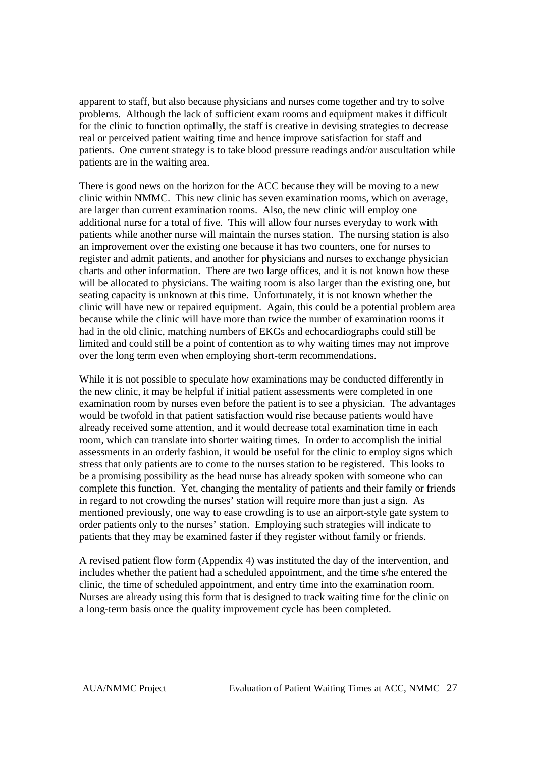apparent to staff, but also because physicians and nurses come together and try to solve problems. Although the lack of sufficient exam rooms and equipment makes it difficult for the clinic to function optimally, the staff is creative in devising strategies to decrease real or perceived patient waiting time and hence improve satisfaction for staff and patients. One current strategy is to take blood pressure readings and/or auscultation while patients are in the waiting area.

There is good news on the horizon for the ACC because they will be moving to a new clinic within NMMC. This new clinic has seven examination rooms, which on average, are larger than current examination rooms. Also, the new clinic will employ one additional nurse for a total of five. This will allow four nurses everyday to work with patients while another nurse will maintain the nurses station. The nursing station is also an improvement over the existing one because it has two counters, one for nurses to register and admit patients, and another for physicians and nurses to exchange physician charts and other information. There are two large offices, and it is not known how these will be allocated to physicians. The waiting room is also larger than the existing one, but seating capacity is unknown at this time. Unfortunately, it is not known whether the clinic will have new or repaired equipment. Again, this could be a potential problem area because while the clinic will have more than twice the number of examination rooms it had in the old clinic, matching numbers of EKGs and echocardiographs could still be limited and could still be a point of contention as to why waiting times may not improve over the long term even when employing short-term recommendations.

While it is not possible to speculate how examinations may be conducted differently in the new clinic, it may be helpful if initial patient assessments were completed in one examination room by nurses even before the patient is to see a physician. The advantages would be twofold in that patient satisfaction would rise because patients would have already received some attention, and it would decrease total examination time in each room, which can translate into shorter waiting times. In order to accomplish the initial assessments in an orderly fashion, it would be useful for the clinic to employ signs which stress that only patients are to come to the nurses station to be registered. This looks to be a promising possibility as the head nurse has already spoken with someone who can complete this function. Yet, changing the mentality of patients and their family or friends in regard to not crowding the nurses' station will require more than just a sign. As mentioned previously, one way to ease crowding is to use an airport-style gate system to order patients only to the nurses' station. Employing such strategies will indicate to patients that they may be examined faster if they register without family or friends.

A revised patient flow form (Appendix 4) was instituted the day of the intervention, and includes whether the patient had a scheduled appointment, and the time s/he entered the clinic, the time of scheduled appointment, and entry time into the examination room. Nurses are already using this form that is designed to track waiting time for the clinic on a long-term basis once the quality improvement cycle has been completed.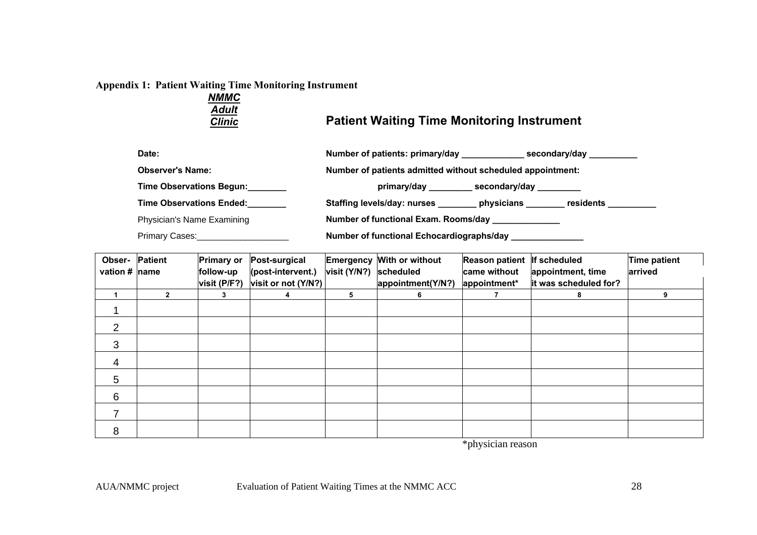#### **Appendix 1: Patient Waiting Time Monitoring Instrument**

| NMMC          |                                                   |
|---------------|---------------------------------------------------|
| <b>Adult</b>  |                                                   |
| <b>Clinic</b> | <b>Patient Waiting Time Monitoring Instrument</b> |

| Date:                           | Number of patients: primary/day<br>secondary/day              |
|---------------------------------|---------------------------------------------------------------|
| <b>Observer's Name:</b>         | Number of patients admitted without scheduled appointment:    |
| Time Observations Begun:        | _secondary/day ________                                       |
| <b>Time Observations Ended:</b> | <b>Staffing levels/day: nurses</b><br>residents<br>physicians |
| Physician's Name Examining      | Number of functional Exam. Rooms/day _____________            |

Primary Cases: \_\_\_\_\_\_\_\_\_\_\_\_\_\_\_\_\_\_\_\_\_\_\_\_\_\_\_\_\_\_\_\_\_**Number of functional Echocardiographs/day \_\_\_\_\_\_\_\_\_\_\_\_\_\_\_\_\_\_** 

| <b>Patient</b><br>Obser- |              | <b>Primary or</b> | Post-surgical       | Emergency    | With or without   | <b>Reason patient</b> | If scheduled          | Time patient |
|--------------------------|--------------|-------------------|---------------------|--------------|-------------------|-----------------------|-----------------------|--------------|
| vation # name            |              | follow-up         | (post-intervent.)   | visit (Y/N?) | scheduled         | came without          | appointment, time     | arrived      |
|                          |              | visit (P/F?)      | visit or not (Y/N?) |              | appointment(Y/N?) | appointment*          | it was scheduled for? |              |
|                          | $\mathbf{2}$ | 3                 | 4                   | 5            | 6                 |                       | 8                     | 9            |
|                          |              |                   |                     |              |                   |                       |                       |              |
| 2                        |              |                   |                     |              |                   |                       |                       |              |
| 3                        |              |                   |                     |              |                   |                       |                       |              |
| $\overline{4}$           |              |                   |                     |              |                   |                       |                       |              |
| 5                        |              |                   |                     |              |                   |                       |                       |              |
| 6                        |              |                   |                     |              |                   |                       |                       |              |
|                          |              |                   |                     |              |                   |                       |                       |              |
| 8                        |              |                   |                     |              |                   |                       |                       |              |

\*physician reason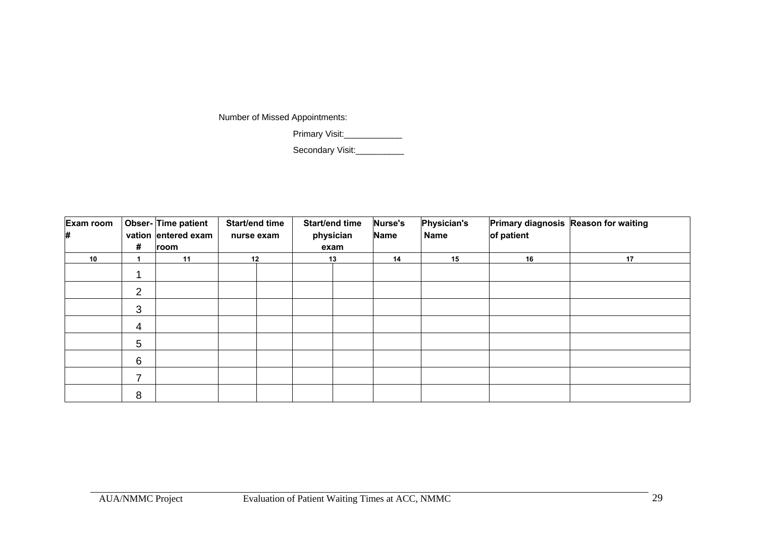Number of Missed Appointments:

Primary Visit:\_\_\_\_\_\_\_\_\_\_\_\_\_\_

Secondary Visit:

| Exam room<br># | #              | Obser-Time patient<br>vation entered exam<br>room | Start/end time<br>nurse exam |    | <b>Start/end time</b><br>physician<br>exam |    | <b>Nurse's</b><br>Name | <b>Physician's</b><br><b>Name</b> | of patient | Primary diagnosis Reason for waiting |    |    |  |
|----------------|----------------|---------------------------------------------------|------------------------------|----|--------------------------------------------|----|------------------------|-----------------------------------|------------|--------------------------------------|----|----|--|
| 10             |                | 11                                                |                              | 12 |                                            | 13 |                        |                                   | 14         | 15                                   | 16 | 17 |  |
|                |                |                                                   |                              |    |                                            |    |                        |                                   |            |                                      |    |    |  |
|                | 2              |                                                   |                              |    |                                            |    |                        |                                   |            |                                      |    |    |  |
|                | 3              |                                                   |                              |    |                                            |    |                        |                                   |            |                                      |    |    |  |
|                | $\overline{4}$ |                                                   |                              |    |                                            |    |                        |                                   |            |                                      |    |    |  |
|                | 5              |                                                   |                              |    |                                            |    |                        |                                   |            |                                      |    |    |  |
|                | 6              |                                                   |                              |    |                                            |    |                        |                                   |            |                                      |    |    |  |
|                | $\overline{ }$ |                                                   |                              |    |                                            |    |                        |                                   |            |                                      |    |    |  |
|                | 8              |                                                   |                              |    |                                            |    |                        |                                   |            |                                      |    |    |  |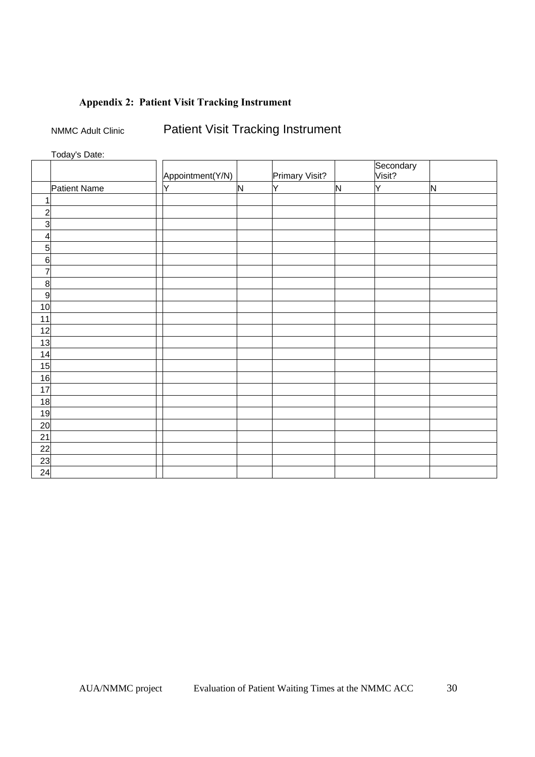# **Appendix 2: Patient Visit Tracking Instrument**

NMMC Adult Clinic Patient Visit Tracking Instrument

Today's Date:

|                 |              | Appointment(Y/N) |              | Primary Visit? |   | Secondary<br>Visit? |              |
|-----------------|--------------|------------------|--------------|----------------|---|---------------------|--------------|
|                 | Patient Name | Y                | $\mathsf{N}$ | lY.            | N | Y                   | $\mathsf{N}$ |
|                 |              |                  |              |                |   |                     |              |
| $\overline{c}$  |              |                  |              |                |   |                     |              |
| 3               |              |                  |              |                |   |                     |              |
|                 |              |                  |              |                |   |                     |              |
| 4               |              |                  |              |                |   |                     |              |
| $5\overline{a}$ |              |                  |              |                |   |                     |              |
| 6               |              |                  |              |                |   |                     |              |
| 7               |              |                  |              |                |   |                     |              |
| 8               |              |                  |              |                |   |                     |              |
| 9               |              |                  |              |                |   |                     |              |
| 10              |              |                  |              |                |   |                     |              |
| 11              |              |                  |              |                |   |                     |              |
| 12              |              |                  |              |                |   |                     |              |
| 13              |              |                  |              |                |   |                     |              |
| 14              |              |                  |              |                |   |                     |              |
| 15              |              |                  |              |                |   |                     |              |
| 16              |              |                  |              |                |   |                     |              |
| 17              |              |                  |              |                |   |                     |              |
| 18              |              |                  |              |                |   |                     |              |
| 19              |              |                  |              |                |   |                     |              |
| 20              |              |                  |              |                |   |                     |              |
| 21              |              |                  |              |                |   |                     |              |
| 22              |              |                  |              |                |   |                     |              |
| 23              |              |                  |              |                |   |                     |              |
| 24              |              |                  |              |                |   |                     |              |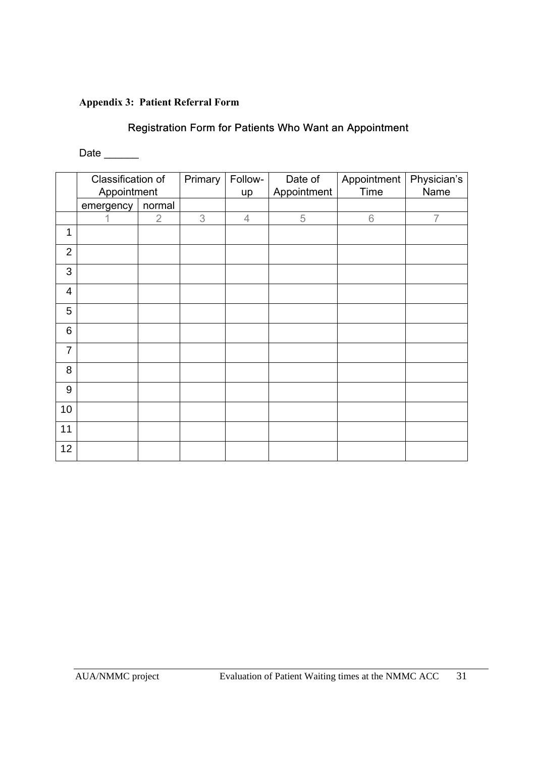# **Appendix 3: Patient Referral Form**

# **Registration Form for Patients Who Want an Appointment**

Date \_\_\_\_\_\_\_

|                | Classification of<br>Appointment |                | Primary | Follow-<br>up  | Date of<br>Appointment | Appointment<br>Time | Physician's<br>Name |
|----------------|----------------------------------|----------------|---------|----------------|------------------------|---------------------|---------------------|
|                | normal<br>emergency              |                |         |                |                        |                     |                     |
|                |                                  | $\overline{2}$ | 3       | $\overline{4}$ | 5                      | 6                   | $\overline{7}$      |
| 1              |                                  |                |         |                |                        |                     |                     |
| $\overline{2}$ |                                  |                |         |                |                        |                     |                     |
| 3              |                                  |                |         |                |                        |                     |                     |
| $\overline{4}$ |                                  |                |         |                |                        |                     |                     |
| 5              |                                  |                |         |                |                        |                     |                     |
| 6              |                                  |                |         |                |                        |                     |                     |
| $\overline{7}$ |                                  |                |         |                |                        |                     |                     |
| 8              |                                  |                |         |                |                        |                     |                     |
| 9              |                                  |                |         |                |                        |                     |                     |
| 10             |                                  |                |         |                |                        |                     |                     |
| 11             |                                  |                |         |                |                        |                     |                     |
| 12             |                                  |                |         |                |                        |                     |                     |